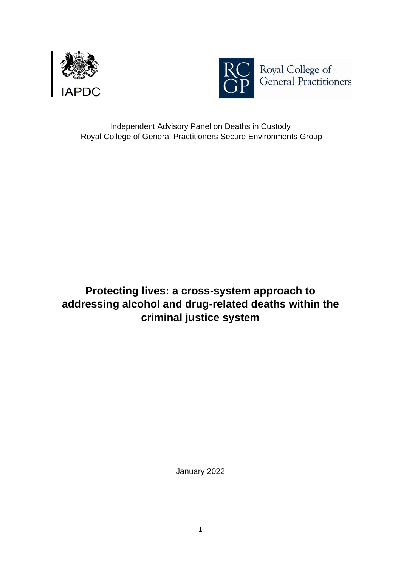



Independent Advisory Panel on Deaths in Custody Royal College of General Practitioners Secure Environments Group

**Protecting lives: a cross-system approach to addressing alcohol and drug-related deaths within the criminal justice system**

January 2022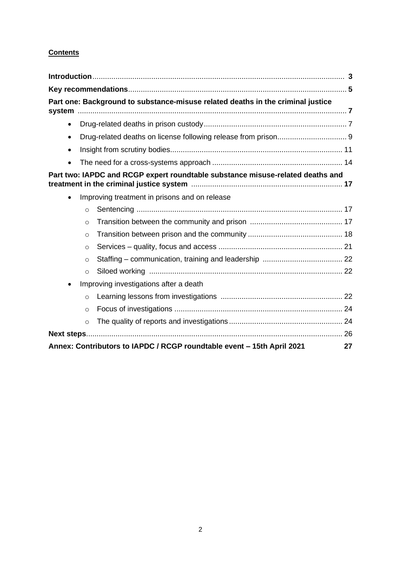# **Contents**

|           |         | Part one: Background to substance-misuse related deaths in the criminal justice |    |  |
|-----------|---------|---------------------------------------------------------------------------------|----|--|
| $\bullet$ |         |                                                                                 |    |  |
| $\bullet$ |         |                                                                                 |    |  |
| $\bullet$ |         |                                                                                 |    |  |
| $\bullet$ |         |                                                                                 |    |  |
|           |         | Part two: IAPDC and RCGP expert roundtable substance misuse-related deaths and  |    |  |
| $\bullet$ |         | Improving treatment in prisons and on release                                   |    |  |
|           | $\circ$ |                                                                                 |    |  |
|           | $\circ$ |                                                                                 |    |  |
|           | $\circ$ |                                                                                 |    |  |
|           | $\circ$ |                                                                                 |    |  |
|           | $\circ$ |                                                                                 |    |  |
|           | $\circ$ |                                                                                 |    |  |
|           |         | Improving investigations after a death                                          |    |  |
|           | $\circ$ |                                                                                 |    |  |
|           | $\circ$ |                                                                                 |    |  |
|           | $\circ$ |                                                                                 |    |  |
|           |         |                                                                                 |    |  |
|           |         | Annex: Contributors to IAPDC / RCGP roundtable event - 15th April 2021          | 27 |  |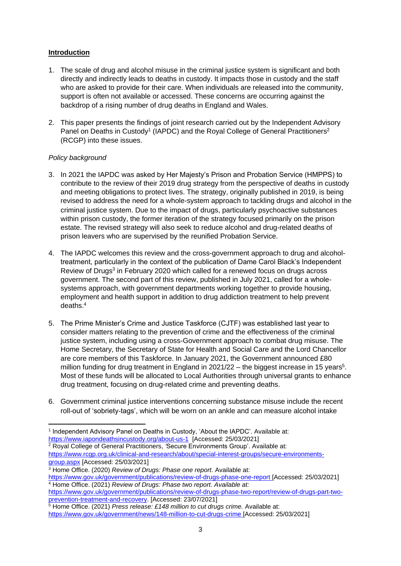### **Introduction**

- 1. The scale of drug and alcohol misuse in the criminal justice system is significant and both directly and indirectly leads to deaths in custody. It impacts those in custody and the staff who are asked to provide for their care. When individuals are released into the community, support is often not available or accessed. These concerns are occurring against the backdrop of a rising number of drug deaths in England and Wales.
- 2. This paper presents the findings of joint research carried out by the Independent Advisory Panel on Deaths in Custody<sup>1</sup> (IAPDC) and the Royal College of General Practitioners<sup>2</sup> (RCGP) into these issues.

#### *Policy background*

- 3. In 2021 the IAPDC was asked by Her Majesty's Prison and Probation Service (HMPPS) to contribute to the review of their 2019 drug strategy from the perspective of deaths in custody and meeting obligations to protect lives. The strategy, originally published in 2019, is being revised to address the need for a whole-system approach to tackling drugs and alcohol in the criminal justice system. Due to the impact of drugs, particularly psychoactive substances within prison custody, the former iteration of the strategy focused primarily on the prison estate. The revised strategy will also seek to reduce alcohol and drug-related deaths of prison leavers who are supervised by the reunified Probation Service.
- 4. The IAPDC welcomes this review and the cross-government approach to drug and alcoholtreatment, particularly in the context of the publication of Dame Carol Black's Independent Review of Drugs<sup>3</sup> in February 2020 which called for a renewed focus on drugs across government. The second part of this review, published in July 2021, called for a wholesystems approach, with government departments working together to provide housing, employment and health support in addition to drug addiction treatment to help prevent deaths. 4
- 5. The Prime Minister's Crime and Justice Taskforce (CJTF) was established last year to consider matters relating to the prevention of crime and the effectiveness of the criminal justice system, including using a cross-Government approach to combat drug misuse. The Home Secretary, the Secretary of State for Health and Social Care and the Lord Chancellor are core members of this Taskforce. In January 2021, the Government announced £80 million funding for drug treatment in England in  $2021/22 -$  the biggest increase in 15 years<sup>5</sup>. Most of these funds will be allocated to Local Authorities through universal grants to enhance drug treatment, focusing on drug-related crime and preventing deaths.
- 6. Government criminal justice interventions concerning substance misuse include the recent roll-out of 'sobriety-tags', which will be worn on an ankle and can measure alcohol intake

<sup>2</sup> Royal College of General Practitioners, *'*Secure Environments Group'. Available at: [https://www.rcgp.org.uk/clinical-and-research/about/special-interest-groups/secure-environments](https://www.rcgp.org.uk/clinical-and-research/about/special-interest-groups/secure-environments-group.aspx)[group.aspx](https://www.rcgp.org.uk/clinical-and-research/about/special-interest-groups/secure-environments-group.aspx) [Accessed: 25/03/2021]

<sup>&</sup>lt;sup>1</sup> Independent Advisory Panel on Deaths in Custody, 'About the IAPDC'. Available at: <https://www.iapondeathsincustody.org/about-us-1>[Accessed: 25/03/2021]

<sup>3</sup> Home Office. (2020) *Review of Drugs: Phase one report*. Available at: <https://www.gov.uk/government/publications/review-of-drugs-phase-one-report> [Accessed: 25/03/2021]

<sup>4</sup> Home Office. (2021) *Review of Drugs: Phase two report. Available at:* 

[https://www.gov.uk/government/publications/review-of-drugs-phase-two-report/review-of-drugs-part-two](https://www.gov.uk/government/publications/review-of-drugs-phase-two-report/review-of-drugs-part-two-prevention-treatment-and-recovery)[prevention-treatment-and-recovery.](https://www.gov.uk/government/publications/review-of-drugs-phase-two-report/review-of-drugs-part-two-prevention-treatment-and-recovery) [Accessed: 23/07/2021]

<sup>5</sup> Home Office. (2021) *Press release: £148 million to cut drugs crime.* Available at: <https://www.gov.uk/government/news/148-million-to-cut-drugs-crime> [Accessed: 25/03/2021]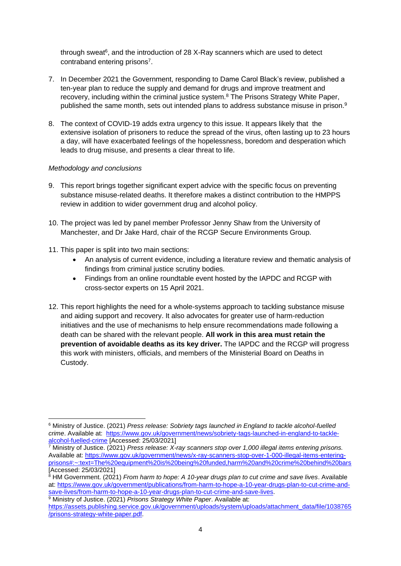through sweat<sup>6</sup>, and the introduction of 28 X-Ray scanners which are used to detect contraband entering prisons<sup>7</sup>.

- 7. In December 2021 the Government, responding to Dame Carol Black's review, published a ten-year plan to reduce the supply and demand for drugs and improve treatment and recovery, including within the criminal justice system.<sup>8</sup> The Prisons Strategy White Paper, published the same month, sets out intended plans to address substance misuse in prison.<sup>9</sup>
- 8. The context of COVID-19 adds extra urgency to this issue. It appears likely that the extensive isolation of prisoners to reduce the spread of the virus, often lasting up to 23 hours a day, will have exacerbated feelings of the hopelessness, boredom and desperation which leads to drug misuse, and presents a clear threat to life.

#### *Methodology and conclusions*

- 9. This report brings together significant expert advice with the specific focus on preventing substance misuse-related deaths. It therefore makes a distinct contribution to the HMPPS review in addition to wider government drug and alcohol policy.
- 10. The project was led by panel member Professor Jenny Shaw from the University of Manchester, and Dr Jake Hard, chair of the RCGP Secure Environments Group.
- 11. This paper is split into two main sections:
	- An analysis of current evidence, including a literature review and thematic analysis of findings from criminal justice scrutiny bodies.
	- Findings from an online roundtable event hosted by the IAPDC and RCGP with cross-sector experts on 15 April 2021.
- 12. This report highlights the need for a whole-systems approach to tackling substance misuse and aiding support and recovery. It also advocates for greater use of harm-reduction initiatives and the use of mechanisms to help ensure recommendations made following a death can be shared with the relevant people. **All work in this area must retain the prevention of avoidable deaths as its key driver.** The IAPDC and the RCGP will progress this work with ministers, officials, and members of the Ministerial Board on Deaths in Custody.

<sup>6</sup> Ministry of Justice. (2021) *Press release: Sobriety tags launched in England to tackle alcohol-fuelled crime*. Available at: [https://www.gov.uk/government/news/sobriety-tags-launched-in-england-to-tackle](https://www.gov.uk/government/news/sobriety-tags-launched-in-england-to-tackle-alcohol-fuelled-crime)[alcohol-fuelled-crime](https://www.gov.uk/government/news/sobriety-tags-launched-in-england-to-tackle-alcohol-fuelled-crime) [Accessed: 25/03/2021]

<sup>7</sup> Ministry of Justice. (2021) *Press release: X-ray scanners stop over 1,000 illegal items entering prisons.* Available at: [https://www.gov.uk/government/news/x-ray-scanners-stop-over-1-000-illegal-items-entering](https://www.gov.uk/government/news/x-ray-scanners-stop-over-1-000-illegal-items-entering-prisons#:~:text=The%20equipment%20is%20being%20funded,harm%20and%20crime%20behind%20bars)[prisons#:~:text=The%20equipment%20is%20being%20funded,harm%20and%20crime%20behind%20bars](https://www.gov.uk/government/news/x-ray-scanners-stop-over-1-000-illegal-items-entering-prisons#:~:text=The%20equipment%20is%20being%20funded,harm%20and%20crime%20behind%20bars) [Accessed: 25/03/2021]

<sup>8</sup> HM Government. (2021) *From harm to hope: A 10-year drugs plan to cut crime and save lives*. Available at: [https://www.gov.uk/government/publications/from-harm-to-hope-a-10-year-drugs-plan-to-cut-crime-and](https://www.gov.uk/government/publications/from-harm-to-hope-a-10-year-drugs-plan-to-cut-crime-and-save-lives/from-harm-to-hope-a-10-year-drugs-plan-to-cut-crime-and-save-lives)[save-lives/from-harm-to-hope-a-10-year-drugs-plan-to-cut-crime-and-save-lives.](https://www.gov.uk/government/publications/from-harm-to-hope-a-10-year-drugs-plan-to-cut-crime-and-save-lives/from-harm-to-hope-a-10-year-drugs-plan-to-cut-crime-and-save-lives)

<sup>&</sup>lt;sup>9</sup> Ministry of Justice. (2021) *Prisons Strategy White Paper*. Available at:

[https://assets.publishing.service.gov.uk/government/uploads/system/uploads/attachment\\_data/file/1038765](https://assets.publishing.service.gov.uk/government/uploads/system/uploads/attachment_data/file/1038765/prisons-strategy-white-paper.pdf) [/prisons-strategy-white-paper.pdf.](https://assets.publishing.service.gov.uk/government/uploads/system/uploads/attachment_data/file/1038765/prisons-strategy-white-paper.pdf)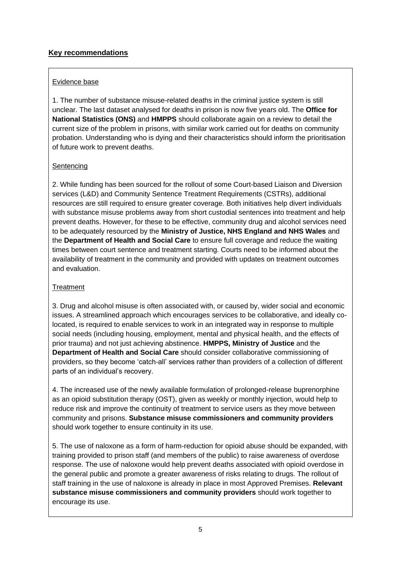## **Key recommendations**

## Evidence base

1. The number of substance misuse-related deaths in the criminal justice system is still unclear. The last dataset analysed for deaths in prison is now five years old. The **Office for National Statistics (ONS)** and **HMPPS** should collaborate again on a review to detail the current size of the problem in prisons, with similar work carried out for deaths on community probation. Understanding who is dying and their characteristics should inform the prioritisation of future work to prevent deaths.

## Sentencing

2. While funding has been sourced for the rollout of some Court-based Liaison and Diversion services (L&D) and Community Sentence Treatment Requirements (CSTRs), additional resources are still required to ensure greater coverage. Both initiatives help divert individuals with substance misuse problems away from short custodial sentences into treatment and help prevent deaths. However, for these to be effective, community drug and alcohol services need to be adequately resourced by the **Ministry of Justice, NHS England and NHS Wales** and the **Department of Health and Social Care** to ensure full coverage and reduce the waiting times between court sentence and treatment starting. Courts need to be informed about the availability of treatment in the community and provided with updates on treatment outcomes and evaluation.

## **Treatment**

3. Drug and alcohol misuse is often associated with, or caused by, wider social and economic issues. A streamlined approach which encourages services to be collaborative, and ideally colocated, is required to enable services to work in an integrated way in response to multiple social needs (including housing, employment, mental and physical health, and the effects of prior trauma) and not just achieving abstinence. **HMPPS, Ministry of Justice** and the **Department of Health and Social Care** should consider collaborative commissioning of providers, so they become 'catch-all' services rather than providers of a collection of different parts of an individual's recovery.

4. The increased use of the newly available formulation of prolonged-release buprenorphine as an opioid substitution therapy (OST), given as weekly or monthly injection, would help to reduce risk and improve the continuity of treatment to service users as they move between community and prisons. **Substance misuse commissioners and community providers** should work together to ensure continuity in its use.

5. The use of naloxone as a form of harm-reduction for opioid abuse should be expanded, with training provided to prison staff (and members of the public) to raise awareness of overdose response. The use of naloxone would help prevent deaths associated with opioid overdose in the general public and promote a greater awareness of risks relating to drugs. The rollout of staff training in the use of naloxone is already in place in most Approved Premises. **Relevant substance misuse commissioners and community providers** should work together to encourage its use.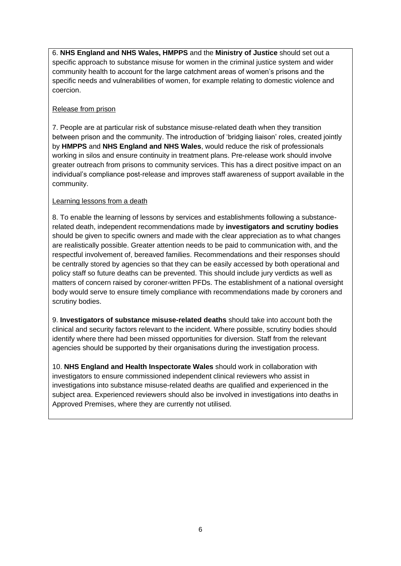6. **NHS England and NHS Wales, HMPPS** and the **Ministry of Justice** should set out a specific approach to substance misuse for women in the criminal justice system and wider community health to account for the large catchment areas of women's prisons and the specific needs and vulnerabilities of women, for example relating to domestic violence and coercion.

## Release from prison

7. People are at particular risk of substance misuse-related death when they transition between prison and the community. The introduction of 'bridging liaison' roles, created jointly by **HMPPS** and **NHS England and NHS Wales**, would reduce the risk of professionals working in silos and ensure continuity in treatment plans. Pre-release work should involve greater outreach from prisons to community services. This has a direct positive impact on an individual's compliance post-release and improves staff awareness of support available in the community.

### Learning lessons from a death

8. To enable the learning of lessons by services and establishments following a substancerelated death, independent recommendations made by **investigators and scrutiny bodies**  should be given to specific owners and made with the clear appreciation as to what changes are realistically possible. Greater attention needs to be paid to communication with, and the respectful involvement of, bereaved families. Recommendations and their responses should be centrally stored by agencies so that they can be easily accessed by both operational and policy staff so future deaths can be prevented. This should include jury verdicts as well as matters of concern raised by coroner-written PFDs. The establishment of a national oversight body would serve to ensure timely compliance with recommendations made by coroners and scrutiny bodies.

9. **Investigators of substance misuse-related deaths** should take into account both the clinical and security factors relevant to the incident. Where possible, scrutiny bodies should identify where there had been missed opportunities for diversion. Staff from the relevant agencies should be supported by their organisations during the investigation process.

10. **NHS England and Health Inspectorate Wales** should work in collaboration with investigators to ensure commissioned independent clinical reviewers who assist in investigations into substance misuse-related deaths are qualified and experienced in the subject area. Experienced reviewers should also be involved in investigations into deaths in Approved Premises, where they are currently not utilised.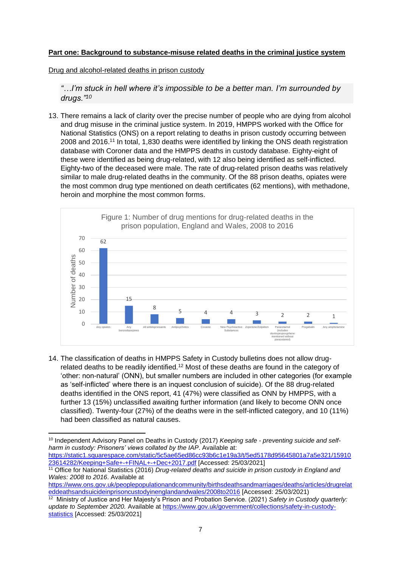### **Part one: Background to substance-misuse related deaths in the criminal justice system**

Drug and alcohol-related deaths in prison custody

*"…I'm stuck in hell where it's impossible to be a better man. I'm surrounded by drugs."<sup>10</sup>*

13. There remains a lack of clarity over the precise number of people who are dying from alcohol and drug misuse in the criminal justice system. In 2019, HMPPS worked with the Office for National Statistics (ONS) on a report relating to deaths in prison custody occurring between 2008 and 2016.<sup>11</sup> In total, 1,830 deaths were identified by linking the ONS death registration database with Coroner data and the HMPPS deaths in custody database. Eighty-eight of these were identified as being drug-related, with 12 also being identified as self-inflicted. Eighty-two of the deceased were male. The rate of drug-related prison deaths was relatively similar to male drug-related deaths in the community. Of the 88 prison deaths, opiates were the most common drug type mentioned on death certificates (62 mentions), with methadone, heroin and morphine the most common forms.



14. The classification of deaths in HMPPS Safety in Custody bulletins does not allow drugrelated deaths to be readily identified.<sup>12</sup> Most of these deaths are found in the category of 'other: non-natural' (ONN), but smaller numbers are included in other categories (for example as 'self-inflicted' where there is an inquest conclusion of suicide). Of the 88 drug-related deaths identified in the ONS report, 41 (47%) were classified as ONN by HMPPS, with a further 13 (15%) unclassified awaiting further information (and likely to become ONN once classified). Twenty-four (27%) of the deaths were in the self-inflicted category, and 10 (11%) had been classified as natural causes.

[https://static1.squarespace.com/static/5c5ae65ed86cc93b6c1e19a3/t/5ed5178d95645801a7a5e321/15910](https://static1.squarespace.com/static/5c5ae65ed86cc93b6c1e19a3/t/5ed5178d95645801a7a5e321/1591023614282/Keeping+Safe+-+FINAL+-+Dec+2017.pdf) [23614282/Keeping+Safe+-+FINAL+-+Dec+2017.pdf](https://static1.squarespace.com/static/5c5ae65ed86cc93b6c1e19a3/t/5ed5178d95645801a7a5e321/1591023614282/Keeping+Safe+-+FINAL+-+Dec+2017.pdf) [Accessed: 25/03/2021]

<sup>10</sup> Independent Advisory Panel on Deaths in Custody (2017) *Keeping safe - preventing suicide and selfharm in custody: Prisoners' views collated by the IAP*. Available at:

<sup>11</sup> Office for National Statistics (2016) *Drug-related deaths and suicide in prison custody in England and Wales: 2008 to 2016*. Available at

[https://www.ons.gov.uk/peoplepopulationandcommunity/birthsdeathsandmarriages/deaths/articles/drugrelat](https://www.ons.gov.uk/peoplepopulationandcommunity/birthsdeathsandmarriages/deaths/articles/drugrelateddeathsandsuicideinprisoncustodyinenglandandwales/2008to2016) [eddeathsandsuicideinprisoncustodyinenglandandwales/2008to2016](https://www.ons.gov.uk/peoplepopulationandcommunity/birthsdeathsandmarriages/deaths/articles/drugrelateddeathsandsuicideinprisoncustodyinenglandandwales/2008to2016) [Accessed: 25/03/2021)

<sup>12</sup> [Ministry of Justice and Her Majesty's Prison and Probation Service. \(2021\)](https://www.gov.uk/government/collections/safety-in-custody-statistics) *[Safety in Custody quarterly:](https://www.gov.uk/government/collections/safety-in-custody-statistics)  [update to September 2020.](https://www.gov.uk/government/collections/safety-in-custody-statistics)* [Available at https://www.gov.uk/government/collections/safety-in-custody](https://www.gov.uk/government/collections/safety-in-custody-statistics)[statistics](https://www.gov.uk/government/collections/safety-in-custody-statistics) [\[Accessed: 25/03/2021\]](https://www.gov.uk/government/collections/safety-in-custody-statistics)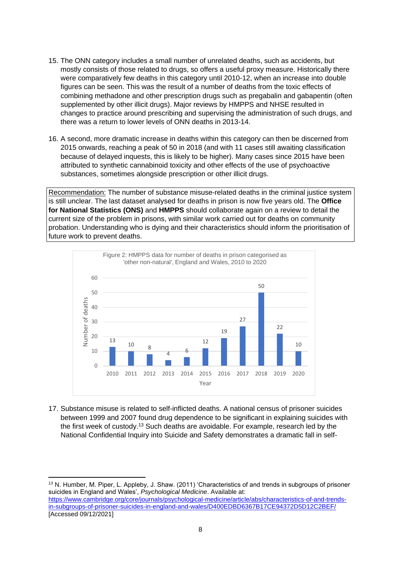- 15. The ONN category includes a small number of unrelated deaths, such as accidents, but mostly consists of those related to drugs, so offers a useful proxy measure. Historically there were comparatively few deaths in this category until 2010-12, when an increase into double figures can be seen. This was the result of a number of deaths from the toxic effects of combining methadone and other prescription drugs such as pregabalin and gabapentin (often supplemented by other illicit drugs). Major reviews by HMPPS and NHSE resulted in changes to practice around prescribing and supervising the administration of such drugs, and there was a return to lower levels of ONN deaths in 2013-14.
- 16. A second, more dramatic increase in deaths within this category can then be discerned from 2015 onwards, reaching a peak of 50 in 2018 (and with 11 cases still awaiting classification because of delayed inquests, this is likely to be higher). Many cases since 2015 have been attributed to synthetic cannabinoid toxicity and other effects of the use of psychoactive substances, sometimes alongside prescription or other illicit drugs.

Recommendation: The number of substance misuse-related deaths in the criminal justice system is still unclear. The last dataset analysed for deaths in prison is now five years old. The **Office for National Statistics (ONS)** and **HMPPS** should collaborate again on a review to detail the current size of the problem in prisons, with similar work carried out for deaths on community probation. Understanding who is dying and their characteristics should inform the prioritisation of future work to prevent deaths.



17. Substance misuse is related to self-inflicted deaths. A national census of prisoner suicides between 1999 and 2007 found drug dependence to be significant in explaining suicides with the first week of custody.<sup>13</sup> Such deaths are avoidable. For example, research led by the National Confidential Inquiry into Suicide and Safety demonstrates a dramatic fall in self-

<sup>13</sup> N. Humber, M. Piper, L. Appleby, J. Shaw. (2011) 'Characteristics of and trends in subgroups of prisoner suicides in England and Wales', *Psychological Medicine*. Available at: [https://www.cambridge.org/core/journals/psychological-medicine/article/abs/characteristics-of-and-trends](https://www.cambridge.org/core/journals/psychological-medicine/article/abs/characteristics-of-and-trends-in-subgroups-of-prisoner-suicides-in-england-and-wales/D400EDBD6367B17CE94372D5D12C2BEF/)[in-subgroups-of-prisoner-suicides-in-england-and-wales/D400EDBD6367B17CE94372D5D12C2BEF/](https://www.cambridge.org/core/journals/psychological-medicine/article/abs/characteristics-of-and-trends-in-subgroups-of-prisoner-suicides-in-england-and-wales/D400EDBD6367B17CE94372D5D12C2BEF/) [Accessed 09/12/2021]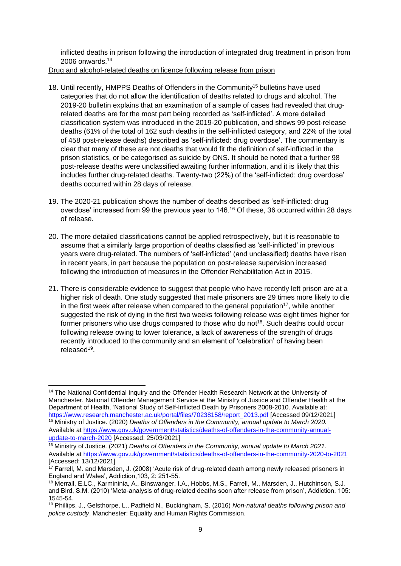inflicted deaths in prison following the introduction of integrated drug treatment in prison from 2006 onwards.<sup>14</sup>

Drug and alcohol-related deaths on licence following release from prison

- 18. Until recently, HMPPS Deaths of Offenders in the Community<sup>15</sup> bulletins have used categories that do not allow the identification of deaths related to drugs and alcohol. The 2019-20 bulletin explains that an examination of a sample of cases had revealed that drugrelated deaths are for the most part being recorded as 'self-inflicted'. A more detailed classification system was introduced in the 2019-20 publication, and shows 99 post-release deaths (61% of the total of 162 such deaths in the self-inflicted category, and 22% of the total of 458 post-release deaths) described as 'self-inflicted: drug overdose'. The commentary is clear that many of these are not deaths that would fit the definition of self-inflicted in the prison statistics, or be categorised as suicide by ONS. It should be noted that a further 98 post-release deaths were unclassified awaiting further information, and it is likely that this includes further drug-related deaths. Twenty-two (22%) of the 'self-inflicted: drug overdose' deaths occurred within 28 days of release.
- 19. The 2020-21 publication shows the number of deaths described as 'self-inflicted: drug overdose' increased from 99 the previous year to 146.<sup>16</sup> Of these, 36 occurred within 28 days of release.
- 20. The more detailed classifications cannot be applied retrospectively, but it is reasonable to assume that a similarly large proportion of deaths classified as 'self-inflicted' in previous years were drug-related. The numbers of 'self-inflicted' (and unclassified) deaths have risen in recent years, in part because the population on post-release supervision increased following the introduction of measures in the Offender Rehabilitation Act in 2015.
- 21. There is considerable evidence to suggest that people who have recently left prison are at a higher risk of death. One study suggested that male prisoners are 29 times more likely to die in the first week after release when compared to the general population<sup>17</sup>, while another suggested the risk of dying in the first two weeks following release was eight times higher for former prisoners who use drugs compared to those who do not<sup>18</sup>. Such deaths could occur following release owing to lower tolerance, a lack of awareness of the strength of drugs recently introduced to the community and an element of 'celebration' of having been released<sup>19</sup>.

[update-to-march-2020](https://www.gov.uk/government/statistics/deaths-of-offenders-in-the-community-annual-update-to-march-2020) [Accessed: 25/03/2021]

<sup>&</sup>lt;sup>14</sup> The National Confidential Inquiry and the Offender Health Research Network at the University of Manchester, National Offender Management Service at the Ministry of Justice and Offender Health at the Department of Health, 'National Study of Self-Inflicted Death by Prisoners 2008-2010. Available at: [https://www.research.manchester.ac.uk/portal/files/70238158/report\\_2013.pdf](https://www.research.manchester.ac.uk/portal/files/70238158/report_2013.pdf) [Accessed 09/12/2021] <sup>15</sup> Ministry of Justice. (2020) *Deaths of Offenders in the Community, annual update to March 2020.* Available at [https://www.gov.uk/government/statistics/deaths-of-offenders-in-the-community-annual-](https://www.gov.uk/government/statistics/deaths-of-offenders-in-the-community-annual-update-to-march-2020)

<sup>16</sup> Ministry of Justice. (2021) *Deaths of Offenders in the Community, annual update to March 2021.* Available at<https://www.gov.uk/government/statistics/deaths-of-offenders-in-the-community-2020-to-2021> [Accessed: 13/12/2021]

<sup>&</sup>lt;sup>17</sup> Farrell, M. and Marsden, J. (2008) 'Acute risk of drug-related death among newly released prisoners in England and Wales', Addiction,103, 2: 251-55.

<sup>18</sup> Merrall, E.LC., Karmininia, A., Binswanger, I.A., Hobbs, M.S., Farrell, M., Marsden, J., Hutchinson, S.J. and Bird, S.M. (2010) 'Meta-analysis of drug-related deaths soon after release from prison', Addiction, 105: 1545-54.

<sup>19</sup> Phillips, J., Gelsthorpe, L., Padfield N., Buckingham, S. (2016) *Non-natural deaths following prison and police custody*, Manchester: Equality and Human Rights Commission.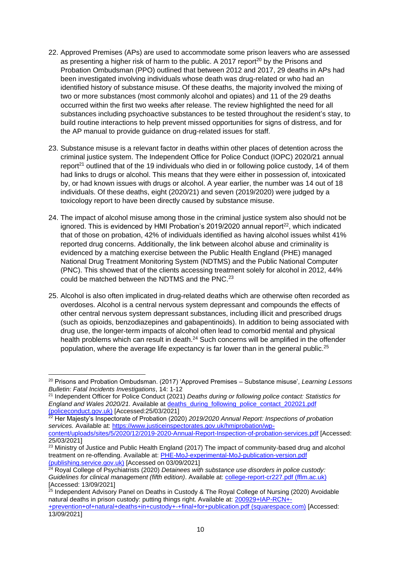- 22. Approved Premises (APs) are used to accommodate some prison leavers who are assessed as presenting a higher risk of harm to the public. A 2017 report<sup>20</sup> by the Prisons and Probation Ombudsman (PPO) outlined that between 2012 and 2017, 29 deaths in APs had been investigated involving individuals whose death was drug-related or who had an identified history of substance misuse. Of these deaths, the majority involved the mixing of two or more substances (most commonly alcohol and opiates) and 11 of the 29 deaths occurred within the first two weeks after release. The review highlighted the need for all substances including psychoactive substances to be tested throughout the resident's stay, to build routine interactions to help prevent missed opportunities for signs of distress, and for the AP manual to provide guidance on drug-related issues for staff.
- 23. Substance misuse is a relevant factor in deaths within other places of detention across the criminal justice system. The Independent Office for Police Conduct (IOPC) 2020/21 annual report $21$  outlined that of the 19 individuals who died in or following police custody, 14 of them had links to drugs or alcohol. This means that they were either in possession of, intoxicated by, or had known issues with drugs or alcohol. A year earlier, the number was 14 out of 18 individuals. Of these deaths, eight (2020/21) and seven (2019/2020) were judged by a toxicology report to have been directly caused by substance misuse.
- 24. The impact of alcohol misuse among those in the criminal justice system also should not be ignored. This is evidenced by HMI Probation's 2019/2020 annual report<sup>22</sup>, which indicated that of those on probation, 42% of individuals identified as having alcohol issues whilst 41% reported drug concerns. Additionally, the link between alcohol abuse and criminality is evidenced by a matching exercise between the Public Health England (PHE) managed National Drug Treatment Monitoring System (NDTMS) and the Public National Computer (PNC). This showed that of the clients accessing treatment solely for alcohol in 2012, 44% could be matched between the NDTMS and the PNC.<sup>23</sup>
- 25. Alcohol is also often implicated in drug-related deaths which are otherwise often recorded as overdoses. Alcohol is a central nervous system depressant and compounds the effects of other central nervous system depressant substances, including illicit and prescribed drugs (such as opioids, benzodiazepines and gabapentinoids). In addition to being associated with drug use, the longer-term impacts of alcohol often lead to comorbid mental and physical health problems which can result in death.<sup>24</sup> Such concerns will be amplified in the offender population, where the average life expectancy is far lower than in the general public.<sup>25</sup>

<sup>20</sup> Prisons and Probation Ombudsman. (2017) 'Approved Premises – Substance misuse', *Learning Lessons Bulletin: Fatal Incidents Investigations*, 14: 1-12

<sup>21</sup> Independent Officer for Police Conduct (2021) *Deaths during or following police contact: Statistics for England and Wales 2020/21.* Available at [deaths\\_during\\_following\\_police\\_contact\\_202021.pdf](https://policeconduct.gov.uk/sites/default/files/Documents/statistics/deaths_during_following_police_contact_202021.pdf)  [\(policeconduct.gov.uk\)](https://policeconduct.gov.uk/sites/default/files/Documents/statistics/deaths_during_following_police_contact_202021.pdf) [Accessed:25/03/2021]

<sup>22</sup> Her Majesty's Inspectorate of Probation (2020) *2019/2020 Annual Report: Inspections of probation services.* Available at: [https://www.justiceinspectorates.gov.uk/hmiprobation/wp](https://www.justiceinspectorates.gov.uk/hmiprobation/wp-content/uploads/sites/5/2020/12/2019-2020-Annual-Report-Inspection-of-probation-services.pdf)[content/uploads/sites/5/2020/12/2019-2020-Annual-Report-Inspection-of-probation-services.pdf](https://www.justiceinspectorates.gov.uk/hmiprobation/wp-content/uploads/sites/5/2020/12/2019-2020-Annual-Report-Inspection-of-probation-services.pdf) [Accessed: 25/03/2021]

<sup>23</sup> Ministry of Justice and Public Health England (2017) The impact of community-based drug and alcohol treatment on re-offending. Available at: [PHE-MoJ-experimental-MoJ-publication-version.pdf](https://assets.publishing.service.gov.uk/government/uploads/system/uploads/attachment_data/file/674858/PHE-MoJ-experimental-MoJ-publication-version.pdf)  [\(publishing.service.gov.uk\)](https://assets.publishing.service.gov.uk/government/uploads/system/uploads/attachment_data/file/674858/PHE-MoJ-experimental-MoJ-publication-version.pdf) [Accessed on 03/09/2021]

<sup>24</sup> Royal College of Psychiatrists (2020) *Detainees with substance use disorders in police custody: Guidelines for clinical management (fifth edition)*. Available at: [college-report-cr227.pdf \(fflm.ac.uk\)](https://fflm.ac.uk/wp-content/uploads/2020/12/college-report-cr227.pdf) [Accessed: 13/09/2021]

<sup>&</sup>lt;sup>25</sup> Independent Advisory Panel on Deaths in Custody & The Royal College of Nursing (2020) Avoidable natural deaths in prison custody: putting things right. Available at: [200929+IAP-RCN+-](https://static1.squarespace.com/static/5c5ae65ed86cc93b6c1e19a3/t/5f736f57ef92df5643a3a461/1601400665948/200929+IAP-RCN+-+prevention+of+natural+deaths+in+custody+-+final+for+publication.pdf)

[<sup>+</sup>prevention+of+natural+deaths+in+custody+-+final+for+publication.pdf \(squarespace.com\)](https://static1.squarespace.com/static/5c5ae65ed86cc93b6c1e19a3/t/5f736f57ef92df5643a3a461/1601400665948/200929+IAP-RCN+-+prevention+of+natural+deaths+in+custody+-+final+for+publication.pdf) [Accessed: 13/09/2021]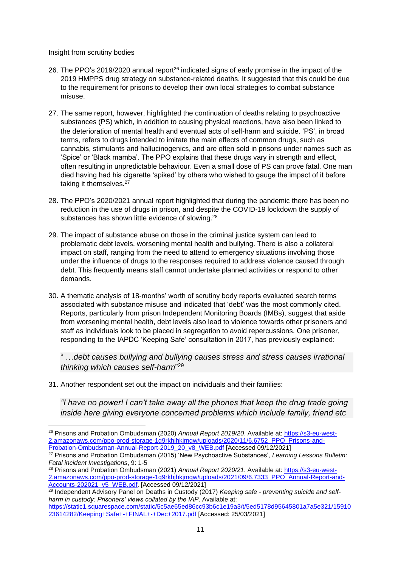#### Insight from scrutiny bodies

- 26. The PPO's 2019/2020 annual report<sup>26</sup> indicated signs of early promise in the impact of the 2019 HMPPS drug strategy on substance-related deaths. It suggested that this could be due to the requirement for prisons to develop their own local strategies to combat substance misuse.
- 27. The same report, however, highlighted the continuation of deaths relating to psychoactive substances (PS) which, in addition to causing physical reactions, have also been linked to the deterioration of mental health and eventual acts of self-harm and suicide. 'PS', in broad terms, refers to drugs intended to imitate the main effects of common drugs, such as cannabis, stimulants and hallucinogenics, and are often sold in prisons under names such as 'Spice' or 'Black mamba'. The PPO explains that these drugs vary in strength and effect, often resulting in unpredictable behaviour. Even a small dose of PS can prove fatal. One man died having had his cigarette 'spiked' by others who wished to gauge the impact of it before taking it themselves.<sup>27</sup>
- 28. The PPO's 2020/2021 annual report highlighted that during the pandemic there has been no reduction in the use of drugs in prison, and despite the COVID-19 lockdown the supply of substances has shown little evidence of slowing.<sup>28</sup>
- 29. The impact of substance abuse on those in the criminal justice system can lead to problematic debt levels, worsening mental health and bullying. There is also a collateral impact on staff, ranging from the need to attend to emergency situations involving those under the influence of drugs to the responses required to address violence caused through debt. This frequently means staff cannot undertake planned activities or respond to other demands.
- 30. A thematic analysis of 18-months' worth of scrutiny body reports evaluated search terms associated with substance misuse and indicated that 'debt' was the most commonly cited. Reports, particularly from prison Independent Monitoring Boards (IMBs), suggest that aside from worsening mental health, debt levels also lead to violence towards other prisoners and staff as individuals look to be placed in segregation to avoid repercussions. One prisoner, responding to the IAPDC 'Keeping Safe' consultation in 2017, has previously explained:

" …*debt causes bullying and bullying causes stress and stress causes irrational thinking which causes self-harm*" 29

31. Another respondent set out the impact on individuals and their families:

*"I have no power! I can't take away all the phones that keep the drug trade going inside here giving everyone concerned problems which include family, friend etc* 

<sup>&</sup>lt;sup>26</sup> Prisons and Probation Ombudsman (2020) Annual Report 2019/20. Available at: [https://s3-eu-west-](https://s3-eu-west-2.amazonaws.com/ppo-prod-storage-1g9rkhjhkjmgw/uploads/2020/11/6.6752_PPO_Prisons-and-Probation-Ombudsman-Annual-Report-2019_20_v8_WEB.pdf)[2.amazonaws.com/ppo-prod-storage-1g9rkhjhkjmgw/uploads/2020/11/6.6752\\_PPO\\_Prisons-and-](https://s3-eu-west-2.amazonaws.com/ppo-prod-storage-1g9rkhjhkjmgw/uploads/2020/11/6.6752_PPO_Prisons-and-Probation-Ombudsman-Annual-Report-2019_20_v8_WEB.pdf)[Probation-Ombudsman-Annual-Report-2019\\_20\\_v8\\_WEB.pdf](https://s3-eu-west-2.amazonaws.com/ppo-prod-storage-1g9rkhjhkjmgw/uploads/2020/11/6.6752_PPO_Prisons-and-Probation-Ombudsman-Annual-Report-2019_20_v8_WEB.pdf) [Accessed 09/12/2021]

<sup>27</sup> Prisons and Probation Ombudsman (2015) 'New Psychoactive Substances', *Learning Lessons Bulletin: Fatal incident Investigations*, 9: 1-5

<sup>28</sup> Prisons and Probation Ombudsman (2021) *Annual Report 2020/21*. Available at: [https://s3-eu-west-](https://s3-eu-west-2.amazonaws.com/ppo-prod-storage-1g9rkhjhkjmgw/uploads/2021/09/6.7333_PPO_Annual-Report-and-Accounts-202021_v5_WEB.pdf)[2.amazonaws.com/ppo-prod-storage-1g9rkhjhkjmgw/uploads/2021/09/6.7333\\_PPO\\_Annual-Report-and-](https://s3-eu-west-2.amazonaws.com/ppo-prod-storage-1g9rkhjhkjmgw/uploads/2021/09/6.7333_PPO_Annual-Report-and-Accounts-202021_v5_WEB.pdf)[Accounts-202021\\_v5\\_WEB.pdf.](https://s3-eu-west-2.amazonaws.com/ppo-prod-storage-1g9rkhjhkjmgw/uploads/2021/09/6.7333_PPO_Annual-Report-and-Accounts-202021_v5_WEB.pdf) [Accessed 09/12/2021]

<sup>29</sup> Independent Advisory Panel on Deaths in Custody (2017) *Keeping safe - preventing suicide and selfharm in custody: Prisoners' views collated by the IAP*. Available at:

[https://static1.squarespace.com/static/5c5ae65ed86cc93b6c1e19a3/t/5ed5178d95645801a7a5e321/15910](https://static1.squarespace.com/static/5c5ae65ed86cc93b6c1e19a3/t/5ed5178d95645801a7a5e321/1591023614282/Keeping+Safe+-+FINAL+-+Dec+2017.pdf) [23614282/Keeping+Safe+-+FINAL+-+Dec+2017.pdf](https://static1.squarespace.com/static/5c5ae65ed86cc93b6c1e19a3/t/5ed5178d95645801a7a5e321/1591023614282/Keeping+Safe+-+FINAL+-+Dec+2017.pdf) [Accessed: 25/03/2021]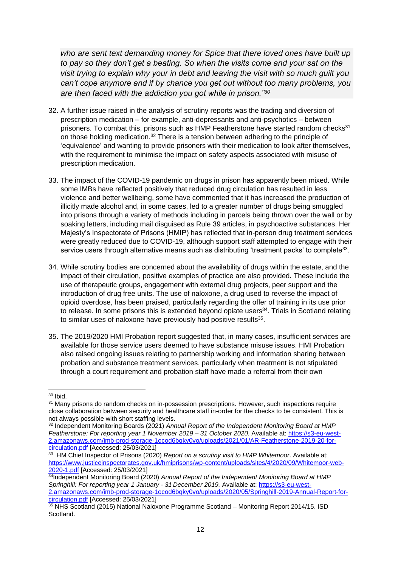*who are sent text demanding money for Spice that there loved ones have built up to pay so they don't get a beating. So when the visits come and your sat on the visit trying to explain why your in debt and leaving the visit with so much guilt you can't cope anymore and if by chance you get out without too many problems, you are then faced with the addiction you got while in prison."<sup>30</sup>*

- 32. A further issue raised in the analysis of scrutiny reports was the trading and diversion of prescription medication – for example, anti-depressants and anti-psychotics – between prisoners. To combat this, prisons such as HMP Featherstone have started random checks<sup>31</sup> on those holding medication.<sup>32</sup> There is a tension between adhering to the principle of 'equivalence' and wanting to provide prisoners with their medication to look after themselves, with the requirement to minimise the impact on safety aspects associated with misuse of prescription medication.
- 33. The impact of the COVID-19 pandemic on drugs in prison has apparently been mixed. While some IMBs have reflected positively that reduced drug circulation has resulted in less violence and better wellbeing, some have commented that it has increased the production of illicitly made alcohol and, in some cases, led to a greater number of drugs being smuggled into prisons through a variety of methods including in parcels being thrown over the wall or by soaking letters, including mail disguised as Rule 39 articles, in psychoactive substances. Her Majesty's Inspectorate of Prisons (HMIP) has reflected that in-person drug treatment services were greatly reduced due to COVID-19, although support staff attempted to engage with their service users through alternative means such as distributing 'treatment packs' to complete<sup>33</sup>.
- 34. While scrutiny bodies are concerned about the availability of drugs within the estate, and the impact of their circulation, positive examples of practice are also provided. These include the use of therapeutic groups, engagement with external drug projects, peer support and the introduction of drug free units. The use of naloxone, a drug used to reverse the impact of opioid overdose, has been praised, particularly regarding the offer of training in its use prior to release. In some prisons this is extended beyond opiate users $34$ . Trials in Scotland relating to similar uses of naloxone have previously had positive results $35$ .
- 35. The 2019/2020 HMI Probation report suggested that, in many cases, insufficient services are available for those service users deemed to have substance misuse issues. HMI Probation also raised ongoing issues relating to partnership working and information sharing between probation and substance treatment services, particularly when treatment is not stipulated through a court requirement and probation staff have made a referral from their own

 $30$  Ibid.

<sup>&</sup>lt;sup>31</sup> Many prisons do random checks on in-possession prescriptions. However, such inspections require close collaboration between security and healthcare staff in-order for the checks to be consistent. This is not always possible with short staffing levels.

<sup>&</sup>lt;sup>32</sup> Independent Monitoring Boards (2021) Annual Report of the Independent Monitoring Board at HMP *Featherstone: For reporting year 1 November 2019 – 31 October 2020.* Available at: [https://s3-eu-west-](https://s3-eu-west-2.amazonaws.com/imb-prod-storage-1ocod6bqky0vo/uploads/2021/01/AR-Featherstone-2019-20-for-circulation.pdf)[2.amazonaws.com/imb-prod-storage-1ocod6bqky0vo/uploads/2021/01/AR-Featherstone-2019-20-for](https://s3-eu-west-2.amazonaws.com/imb-prod-storage-1ocod6bqky0vo/uploads/2021/01/AR-Featherstone-2019-20-for-circulation.pdf)[circulation.pdf](https://s3-eu-west-2.amazonaws.com/imb-prod-storage-1ocod6bqky0vo/uploads/2021/01/AR-Featherstone-2019-20-for-circulation.pdf) [Accessed: 25/03/2021]

<sup>33</sup> [HM Chief Inspector of Prisons \(2020\)](https://www.justiceinspectorates.gov.uk/hmiprisons/wp-content/uploads/sites/4/2020/09/Whitemoor-web-2020-1.pdf) *[Report on a scrutiny visit to HMP Whitemoor](https://www.justiceinspectorates.gov.uk/hmiprisons/wp-content/uploads/sites/4/2020/09/Whitemoor-web-2020-1.pdf)*[. Available at:](https://www.justiceinspectorates.gov.uk/hmiprisons/wp-content/uploads/sites/4/2020/09/Whitemoor-web-2020-1.pdf)  [https://www.justiceinspectorates.gov.uk/hmiprisons/wp-content/uploads/sites/4/2020/09/Whitemoor-web-](https://www.justiceinspectorates.gov.uk/hmiprisons/wp-content/uploads/sites/4/2020/09/Whitemoor-web-2020-1.pdf)[2020-1.pdf](https://www.justiceinspectorates.gov.uk/hmiprisons/wp-content/uploads/sites/4/2020/09/Whitemoor-web-2020-1.pdf) [\[Accessed: 25/03/2021\]](https://www.justiceinspectorates.gov.uk/hmiprisons/wp-content/uploads/sites/4/2020/09/Whitemoor-web-2020-1.pdf)

<sup>&</sup>lt;sup>34</sup>Independent Monitoring Board (2020) Annual Report of the Independent Monitoring Board at HMP *Springhill: For reporting year 1 January - 31 December 2019.* Available at: [https://s3-eu-west-](https://s3-eu-west-2.amazonaws.com/imb-prod-storage-1ocod6bqky0vo/uploads/2020/05/Springhill-2019-Annual-Report-for-circulation.pdf)[2.amazonaws.com/imb-prod-storage-1ocod6bqky0vo/uploads/2020/05/Springhill-2019-Annual-Report-for](https://s3-eu-west-2.amazonaws.com/imb-prod-storage-1ocod6bqky0vo/uploads/2020/05/Springhill-2019-Annual-Report-for-circulation.pdf)[circulation.pdf](https://s3-eu-west-2.amazonaws.com/imb-prod-storage-1ocod6bqky0vo/uploads/2020/05/Springhill-2019-Annual-Report-for-circulation.pdf) [Accessed: 25/03/2021]

<sup>&</sup>lt;sup>35</sup> NHS Scotland (2015) National Naloxone Programme Scotland – Monitoring Report 2014/15. ISD Scotland.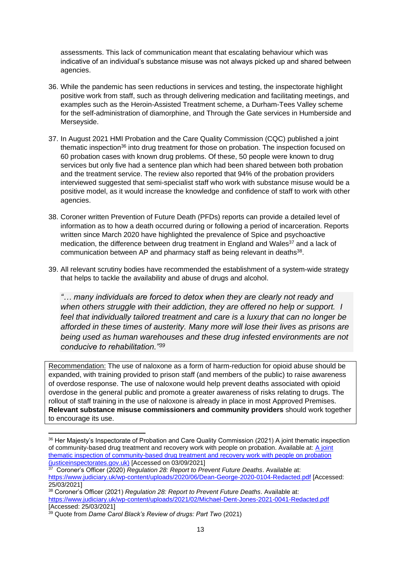assessments. This lack of communication meant that escalating behaviour which was indicative of an individual's substance misuse was not always picked up and shared between agencies.

- 36. While the pandemic has seen reductions in services and testing, the inspectorate highlight positive work from staff, such as through delivering medication and facilitating meetings, and examples such as the Heroin-Assisted Treatment scheme, a Durham-Tees Valley scheme for the self-administration of diamorphine, and Through the Gate services in Humberside and Merseyside.
- 37. In August 2021 HMI Probation and the Care Quality Commission (CQC) published a joint thematic inspection<sup>36</sup> into drug treatment for those on probation. The inspection focused on 60 probation cases with known drug problems. Of these, 50 people were known to drug services but only five had a sentence plan which had been shared between both probation and the treatment service. The review also reported that 94% of the probation providers interviewed suggested that semi-specialist staff who work with substance misuse would be a positive model, as it would increase the knowledge and confidence of staff to work with other agencies.
- 38. Coroner written Prevention of Future Death (PFDs) reports can provide a detailed level of information as to how a death occurred during or following a period of incarceration. Reports written since March 2020 have highlighted the prevalence of Spice and psychoactive medication, the difference between drug treatment in England and Wales<sup>37</sup> and a lack of communication between AP and pharmacy staff as being relevant in deaths<sup>38</sup>.
- 39. All relevant scrutiny bodies have recommended the establishment of a system-wide strategy that helps to tackle the availability and abuse of drugs and alcohol.

*"… many individuals are forced to detox when they are clearly not ready and when others struggle with their addiction, they are offered no help or support. I feel that individually tailored treatment and care is a luxury that can no longer be afforded in these times of austerity. Many more will lose their lives as prisons are being used as human warehouses and these drug infested environments are not conducive to rehabilitation."<sup>39</sup>*

Recommendation: The use of naloxone as a form of harm-reduction for opioid abuse should be expanded, with training provided to prison staff (and members of the public) to raise awareness of overdose response. The use of naloxone would help prevent deaths associated with opioid overdose in the general public and promote a greater awareness of risks relating to drugs. The rollout of staff training in the use of naloxone is already in place in most Approved Premises. **Relevant substance misuse commissioners and community providers** should work together to encourage its use.

<sup>36</sup> Her Majesty's Inspectorate of Probation and Care Quality Commission (2021) A joint thematic inspection of community-based drug treatment and recovery work with people on probation. Available at: [A joint](https://www.justiceinspectorates.gov.uk/hmiprobation/wp-content/uploads/sites/5/2021/08/Drug-treatment-recovery-thematic-v1.1.pdf)  [thematic inspection of community-based drug treatment and recovery work with people on probation](https://www.justiceinspectorates.gov.uk/hmiprobation/wp-content/uploads/sites/5/2021/08/Drug-treatment-recovery-thematic-v1.1.pdf)  [\(justiceinspectorates.gov.uk\)](https://www.justiceinspectorates.gov.uk/hmiprobation/wp-content/uploads/sites/5/2021/08/Drug-treatment-recovery-thematic-v1.1.pdf) [Accessed on 03/09/2021]

<sup>37</sup> [Coroner's Officer \(2020\)](https://www.judiciary.uk/wp-content/uploads/2020/06/Dean-George-2020-0104-Redacted.pdf) *[Regulation 28: Report to](https://www.judiciary.uk/wp-content/uploads/2020/06/Dean-George-2020-0104-Redacted.pdf) Prevent Future Deaths*[. Available at:](https://www.judiciary.uk/wp-content/uploads/2020/06/Dean-George-2020-0104-Redacted.pdf)  <https://www.judiciary.uk/wp-content/uploads/2020/06/Dean-George-2020-0104-Redacted.pdf> [\[Accessed:](https://www.judiciary.uk/wp-content/uploads/2020/06/Dean-George-2020-0104-Redacted.pdf)  [25/03/2021\]](https://www.judiciary.uk/wp-content/uploads/2020/06/Dean-George-2020-0104-Redacted.pdf)

<sup>38</sup> Coroner's Officer (2021) *Regulation 28: Report to Prevent Future Deaths*. Available at: <https://www.judiciary.uk/wp-content/uploads/2021/02/Michael-Dent-Jones-2021-0041-Redacted.pdf> [Accessed: 25/03/2021]

<sup>39</sup> Quote from *Dame Carol Black's Review of drugs: Part Two* (2021)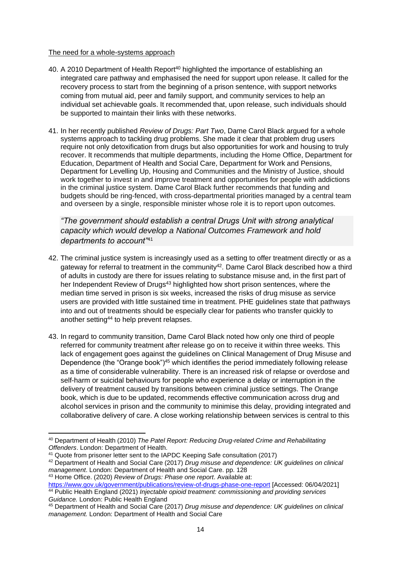#### The need for a whole-systems approach

- 40. A 2010 Department of Health Report<sup>40</sup> highlighted the importance of establishing an integrated care pathway and emphasised the need for support upon release. It called for the recovery process to start from the beginning of a prison sentence, with support networks coming from mutual aid, peer and family support, and community services to help an individual set achievable goals. It recommended that, upon release, such individuals should be supported to maintain their links with these networks.
- 41. In her recently published *Review of Drugs: Part Two*, Dame Carol Black argued for a whole systems approach to tackling drug problems. She made it clear that problem drug users require not only detoxification from drugs but also opportunities for work and housing to truly recover. It recommends that multiple departments, including the Home Office, Department for Education, Department of Health and Social Care, Department for Work and Pensions, Department for Levelling Up, Housing and Communities and the Ministry of Justice, should work together to invest in and improve treatment and opportunities for people with addictions in the criminal justice system. Dame Carol Black further recommends that funding and budgets should be ring-fenced, with cross-departmental priorities managed by a central team and overseen by a single, responsible minister whose role it is to report upon outcomes.

*"The government should establish a central Drugs Unit with strong analytical capacity which would develop a National Outcomes Framework and hold departments to account"*<sup>41</sup>

- 42. The criminal justice system is increasingly used as a setting to offer treatment directly or as a gateway for referral to treatment in the community<sup>42</sup>. Dame Carol Black described how a third of adults in custody are there for issues relating to substance misuse and, in the first part of her Independent Review of Drugs<sup>43</sup> highlighted how short prison sentences, where the median time served in prison is six weeks, increased the risks of drug misuse as service users are provided with little sustained time in treatment. PHE guidelines state that pathways into and out of treatments should be especially clear for patients who transfer quickly to another setting<sup>44</sup> to help prevent relapses.
- 43. In regard to community transition, Dame Carol Black noted how only one third of people referred for community treatment after release go on to receive it within three weeks. This lack of engagement goes against the guidelines on Clinical Management of Drug Misuse and Dependence (the "Orange book")<sup>45</sup> which identifies the period immediately following release as a time of considerable vulnerability. There is an increased risk of relapse or overdose and self-harm or suicidal behaviours for people who experience a delay or interruption in the delivery of treatment caused by transitions between criminal justice settings. The Orange book, which is due to be updated, recommends effective communication across drug and alcohol services in prison and the community to minimise this delay, providing integrated and collaborative delivery of care. A close working relationship between services is central to this

<sup>40</sup> Department of Health (2010) *The Patel Report: Reducing Drug-related Crime and Rehabilitating Offenders*. London: Department of Health.

<sup>&</sup>lt;sup>41</sup> Quote from prisoner letter sent to the IAPDC Keeping Safe consultation (2017)

<sup>42</sup> Department of Health and Social Care (2017) *Drug misuse and dependence: UK guidelines on clinical management*. London: Department of Health and Social Care. pp. 128

<sup>43</sup> Home Office. (2020) *Review of Drugs: Phase one report*. Available at:

<https://www.gov.uk/government/publications/review-of-drugs-phase-one-report> [Accessed: 06/04/2021] <sup>44</sup> Public Health England (2021) *Injectable opioid treatment: commissioning and providing services Guidance.* London: Public Health England

<sup>45</sup> Department of Health and Social Care (2017) *Drug misuse and dependence: UK guidelines on clinical management.* London: Department of Health and Social Care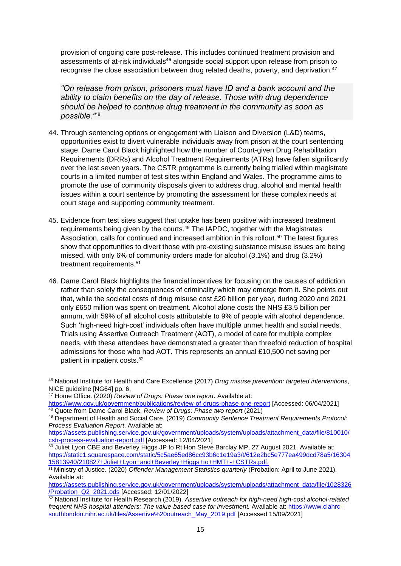provision of ongoing care post-release. This includes continued treatment provision and assessments of at-risk individuals<sup>46</sup> alongside social support upon release from prison to recognise the close association between drug related deaths, poverty, and deprivation.<sup>47</sup>

*"On release from prison, prisoners must have ID and a bank account and the ability to claim benefits on the day of release. Those with drug dependence should be helped to continue drug treatment in the community as soon as possible."*<sup>48</sup>

- 44. Through sentencing options or engagement with Liaison and Diversion (L&D) teams, opportunities exist to divert vulnerable individuals away from prison at the court sentencing stage. Dame Carol Black highlighted how the number of Court-given Drug Rehabilitation Requirements (DRRs) and Alcohol Treatment Requirements (ATRs) have fallen significantly over the last seven years. The CSTR programme is currently being trialled within magistrate courts in a limited number of test sites within England and Wales. The programme aims to promote the use of community disposals given to address drug, alcohol and mental health issues within a court sentence by promoting the assessment for these complex needs at court stage and supporting community treatment.
- 45. Evidence from test sites suggest that uptake has been positive with increased treatment requirements being given by the courts.<sup>49</sup> The IAPDC, together with the Magistrates Association, calls for continued and increased ambition in this rollout.<sup>50</sup> The latest figures show that opportunities to divert those with pre-existing substance misuse issues are being missed, with only 6% of community orders made for alcohol (3.1%) and drug (3.2%) treatment requirements.<sup>51</sup>
- 46. Dame Carol Black highlights the financial incentives for focusing on the causes of addiction rather than solely the consequences of criminality which may emerge from it. She points out that, while the societal costs of drug misuse cost £20 billion per year, during 2020 and 2021 only £650 million was spent on treatment. Alcohol alone costs the NHS £3.5 billion per annum, with 59% of all alcohol costs attributable to 9% of people with alcohol dependence. Such 'high-need high-cost' individuals often have multiple unmet health and social needs. Trials using Assertive Outreach Treatment (AOT), a model of care for multiple complex needs, with these attendees have demonstrated a greater than threefold reduction of hospital admissions for those who had AOT. This represents an annual £10,500 net saving per patient in inpatient costs.<sup>52</sup>

<sup>46</sup> National Institute for Health and Care Excellence (2017) *Drug misuse prevention: targeted interventions*, NICE guideline [NG64] pp. 6.

<sup>47</sup> Home Office. (2020) *Review of Drugs: Phase one report*. Available at:

<https://www.gov.uk/government/publications/review-of-drugs-phase-one-report> [Accessed: 06/04/2021] <sup>48</sup> Quote from Dame Carol Black, *Review of Drugs: Phase two report* (2021)

<sup>49</sup> Department of Health and Social Care. (2019) *Community Sentence Treatment Requirements Protocol: Process Evaluation Report*. Available at:

[https://assets.publishing.service.gov.uk/government/uploads/system/uploads/attachment\\_data/file/810010/](https://assets.publishing.service.gov.uk/government/uploads/system/uploads/attachment_data/file/810010/cstr-process-evaluation-report.pdf) [cstr-process-evaluation-report.pdf](https://assets.publishing.service.gov.uk/government/uploads/system/uploads/attachment_data/file/810010/cstr-process-evaluation-report.pdf) [Accessed: 12/04/2021]

 $^{50}$  Juliet Lyon CBE and Beverley Higgs JP to Rt Hon Steve Barclay MP, 27 August 2021. Available at: [https://static1.squarespace.com/static/5c5ae65ed86cc93b6c1e19a3/t/612e2bc5e777ea499dcd78a5/16304](https://static1.squarespace.com/static/5c5ae65ed86cc93b6c1e19a3/t/612e2bc5e777ea499dcd78a5/1630415813940/210827+Juliet+Lyon+and+Beverley+Higgs+to+HMT+-+CSTRs.pdf) [15813940/210827+Juliet+Lyon+and+Beverley+Higgs+to+HMT+-+CSTRs.pdf.](https://static1.squarespace.com/static/5c5ae65ed86cc93b6c1e19a3/t/612e2bc5e777ea499dcd78a5/1630415813940/210827+Juliet+Lyon+and+Beverley+Higgs+to+HMT+-+CSTRs.pdf)

<sup>51</sup> Ministry of Justice. (2020) *Offender Management Statistics quarterly* (Probation: April to June 2021). Available at:

[https://assets.publishing.service.gov.uk/government/uploads/system/uploads/attachment\\_data/file/1028326](https://assets.publishing.service.gov.uk/government/uploads/system/uploads/attachment_data/file/1028326/Probation_Q2_2021.ods) [/Probation\\_Q2\\_2021.ods](https://assets.publishing.service.gov.uk/government/uploads/system/uploads/attachment_data/file/1028326/Probation_Q2_2021.ods) [Accessed: 12/01/2022]

<sup>52</sup> National Institute for Health Research (2019). *Assertive outreach for high-need high-cost alcohol-related frequent NHS hospital attenders: The value-based case for investment.* Available at: [https://www.clahrc](https://www.clahrc-southlondon.nihr.ac.uk/files/Assertive%20outreach_May_2019.pdf)[southlondon.nihr.ac.uk/files/Assertive%20outreach\\_May\\_2019.pdf](https://www.clahrc-southlondon.nihr.ac.uk/files/Assertive%20outreach_May_2019.pdf) [Accessed 15/09/2021]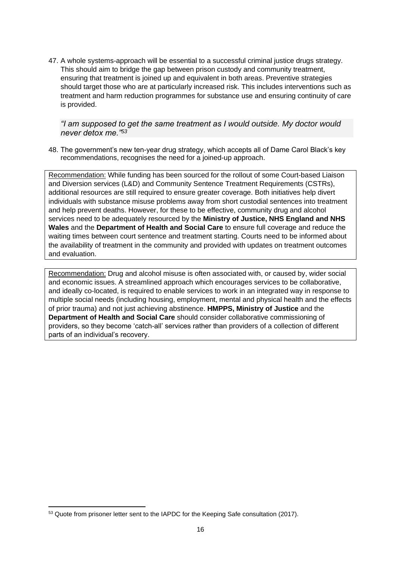47. A whole systems-approach will be essential to a successful criminal justice drugs strategy. This should aim to bridge the gap between prison custody and community treatment, ensuring that treatment is joined up and equivalent in both areas. Preventive strategies should target those who are at particularly increased risk. This includes interventions such as treatment and harm reduction programmes for substance use and ensuring continuity of care is provided.

### *"I am supposed to get the same treatment as I would outside. My doctor would never detox me."<sup>53</sup>*

48. The government's new ten-year drug strategy, which accepts all of Dame Carol Black's key recommendations, recognises the need for a joined-up approach.

Recommendation: While funding has been sourced for the rollout of some Court-based Liaison and Diversion services (L&D) and Community Sentence Treatment Requirements (CSTRs), additional resources are still required to ensure greater coverage. Both initiatives help divert individuals with substance misuse problems away from short custodial sentences into treatment and help prevent deaths. However, for these to be effective, community drug and alcohol services need to be adequately resourced by the **Ministry of Justice, NHS England and NHS Wales** and the **Department of Health and Social Care** to ensure full coverage and reduce the waiting times between court sentence and treatment starting. Courts need to be informed about the availability of treatment in the community and provided with updates on treatment outcomes and evaluation.

Recommendation: Drug and alcohol misuse is often associated with, or caused by, wider social and economic issues. A streamlined approach which encourages services to be collaborative, and ideally co-located, is required to enable services to work in an integrated way in response to multiple social needs (including housing, employment, mental and physical health and the effects of prior trauma) and not just achieving abstinence. **HMPPS, Ministry of Justice** and the **Department of Health and Social Care** should consider collaborative commissioning of providers, so they become 'catch-all' services rather than providers of a collection of different parts of an individual's recovery.

<sup>&</sup>lt;sup>53</sup> Quote from prisoner letter sent to the IAPDC for the Keeping Safe consultation (2017).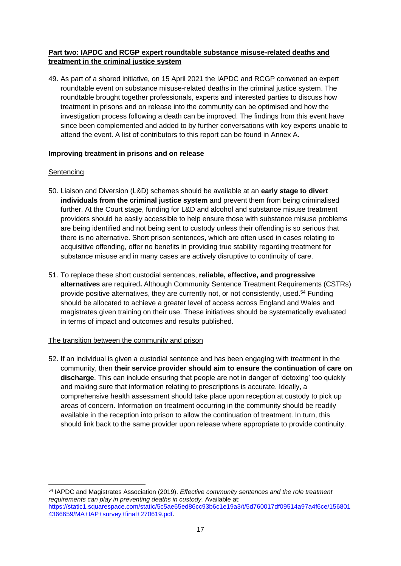## **Part two: IAPDC and RCGP expert roundtable substance misuse-related deaths and treatment in the criminal justice system**

49. As part of a shared initiative, on 15 April 2021 the IAPDC and RCGP convened an expert roundtable event on substance misuse-related deaths in the criminal justice system. The roundtable brought together professionals, experts and interested parties to discuss how treatment in prisons and on release into the community can be optimised and how the investigation process following a death can be improved. The findings from this event have since been complemented and added to by further conversations with key experts unable to attend the event. A list of contributors to this report can be found in Annex A.

### **Improving treatment in prisons and on release**

#### **Sentencing**

- 50. Liaison and Diversion (L&D) schemes should be available at an **early stage to divert individuals from the criminal justice system** and prevent them from being criminalised further. At the Court stage, funding for L&D and alcohol and substance misuse treatment providers should be easily accessible to help ensure those with substance misuse problems are being identified and not being sent to custody unless their offending is so serious that there is no alternative. Short prison sentences, which are often used in cases relating to acquisitive offending, offer no benefits in providing true stability regarding treatment for substance misuse and in many cases are actively disruptive to continuity of care.
- 51. To replace these short custodial sentences, **reliable, effective, and progressive alternatives** are required**.** Although Community Sentence Treatment Requirements (CSTRs) provide positive alternatives, they are currently not, or not consistently, used.<sup>54</sup> Funding should be allocated to achieve a greater level of access across England and Wales and magistrates given training on their use. These initiatives should be systematically evaluated in terms of impact and outcomes and results published.

### The transition between the community and prison

52. If an individual is given a custodial sentence and has been engaging with treatment in the community, then **their service provider should aim to ensure the continuation of care on discharge**. This can include ensuring that people are not in danger of 'detoxing' too quickly and making sure that information relating to prescriptions is accurate. Ideally, a comprehensive health assessment should take place upon reception at custody to pick up areas of concern. Information on treatment occurring in the community should be readily available in the reception into prison to allow the continuation of treatment. In turn, this should link back to the same provider upon release where appropriate to provide continuity.

<sup>54</sup> IAPDC and Magistrates Association (2019). *Effective community sentences and the role treatment requirements can play in preventing deaths in custody.* Available at: [https://static1.squarespace.com/static/5c5ae65ed86cc93b6c1e19a3/t/5d760017df09514a97a4f6ce/156801](https://static1.squarespace.com/static/5c5ae65ed86cc93b6c1e19a3/t/5d760017df09514a97a4f6ce/1568014366659/MA+IAP+survey+final+270619.pdf) [4366659/MA+IAP+survey+final+270619.pdf.](https://static1.squarespace.com/static/5c5ae65ed86cc93b6c1e19a3/t/5d760017df09514a97a4f6ce/1568014366659/MA+IAP+survey+final+270619.pdf)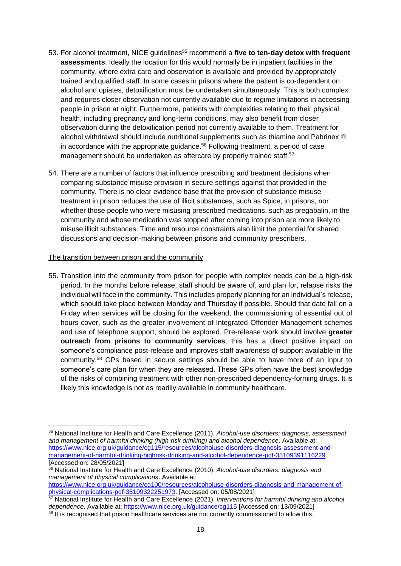- 53. For alcohol treatment, NICE guidelines<sup>55</sup> recommend a **five to ten-day detox with frequent assessments**. Ideally the location for this would normally be in inpatient facilities in the community, where extra care and observation is available and provided by appropriately trained and qualified staff. In some cases in prisons where the patient is co-dependent on alcohol and opiates, detoxification must be undertaken simultaneously. This is both complex and requires closer observation not currently available due to regime limitations in accessing people in prison at night. Furthermore, patients with complexities relating to their physical health, including pregnancy and long-term conditions, may also benefit from closer observation during the detoxification period not currently available to them. Treatment for alcohol withdrawal should include nutritional supplements such as thiamine and Pabrinex ® in accordance with the appropriate guidance.<sup>56</sup> Following treatment, a period of case management should be undertaken as aftercare by properly trained staff.<sup>57</sup>
- 54. There are a number of factors that influence prescribing and treatment decisions when comparing substance misuse provision in secure settings against that provided in the community. There is no clear evidence base that the provision of substance misuse treatment in prison reduces the use of illicit substances, such as Spice, in prisons, nor whether those people who were misusing prescribed medications, such as pregabalin, in the community and whose medication was stopped after coming into prison are more likely to misuse illicit substances. Time and resource constraints also limit the potential for shared discussions and decision-making between prisons and community prescribers.

#### The transition between prison and the community

55. Transition into the community from prison for people with complex needs can be a high-risk period. In the months before release, staff should be aware of, and plan for, relapse risks the individual will face in the community. This includes properly planning for an individual's release, which should take place between Monday and Thursday if possible. Should that date fall on a Friday when services will be closing for the weekend, the commissioning of essential out of hours cover, such as the greater involvement of Integrated Offender Management schemes and use of telephone support, should be explored. Pre-release work should involve **greater outreach from prisons to community services**; this has a direct positive impact on someone's compliance post-release and improves staff awareness of support available in the community.<sup>58</sup> GPs based in secure settings should be able to have more of an input to someone's care plan for when they are released. These GPs often have the best knowledge of the risks of combining treatment with other non-prescribed dependency-forming drugs. It is likely this knowledge is not as readily available in community healthcare.

<sup>55</sup> National Institute for Health and Care Excellence (2011). *Alcohol-use disorders: diagnosis, assessment and management of harmful drinking (high-risk drinking) and alcohol dependence*. Available at: [https://www.nice.org.uk/guidance/cg115/resources/alcoholuse-disorders-diagnosis-assessment-and](https://www.nice.org.uk/guidance/cg115/resources/alcoholuse-disorders-diagnosis-assessment-and-management-of-harmful-drinking-highrisk-drinking-and-alcohol-dependence-pdf-35109391116229)[management-of-harmful-drinking-highrisk-drinking-and-alcohol-dependence-pdf-35109391116229.](https://www.nice.org.uk/guidance/cg115/resources/alcoholuse-disorders-diagnosis-assessment-and-management-of-harmful-drinking-highrisk-drinking-and-alcohol-dependence-pdf-35109391116229)  [Accessed on: 28/05/2021]

<sup>56</sup> National Institute for Health and Care Excellence (2010). *Alcohol-use disorders: diagnosis and management of physical complications*. Available at:

[https://www.nice.org.uk/guidance/cg100/resources/alcoholuse-disorders-diagnosis-and-management-of](https://www.nice.org.uk/guidance/cg100/resources/alcoholuse-disorders-diagnosis-and-management-of-physical-complications-pdf-35109322251973)[physical-complications-pdf-35109322251973.](https://www.nice.org.uk/guidance/cg100/resources/alcoholuse-disorders-diagnosis-and-management-of-physical-complications-pdf-35109322251973) [Accessed on: 05/08/2021]

<sup>57</sup> National Institute for Health and Care Excellence (2021). *Interventions for harmful drinking and alcohol dependence*. Available at:<https://www.nice.org.uk/guidance/cg115> [Accessed on: 13/09/2021] <sup>58</sup> It is recognised that prison healthcare services are not currently commissioned to allow this.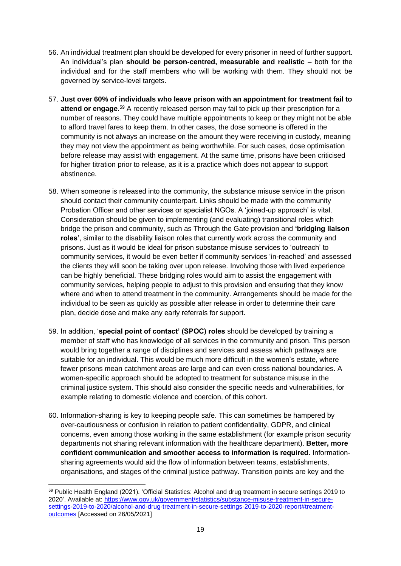- 56. An individual treatment plan should be developed for every prisoner in need of further support. An individual's plan **should be person-centred, measurable and realistic** – both for the individual and for the staff members who will be working with them. They should not be governed by service-level targets.
- 57. **Just over 60% of individuals who leave prison with an appointment for treatment fail to attend or engage**. <sup>59</sup> A recently released person may fail to pick up their prescription for a number of reasons. They could have multiple appointments to keep or they might not be able to afford travel fares to keep them. In other cases, the dose someone is offered in the community is not always an increase on the amount they were receiving in custody, meaning they may not view the appointment as being worthwhile. For such cases, dose optimisation before release may assist with engagement. At the same time, prisons have been criticised for higher titration prior to release, as it is a practice which does not appear to support abstinence.
- 58. When someone is released into the community, the substance misuse service in the prison should contact their community counterpart. Links should be made with the community Probation Officer and other services or specialist NGOs. A 'joined-up approach' is vital. Consideration should be given to implementing (and evaluating) transitional roles which bridge the prison and community, such as Through the Gate provision and **'bridging liaison roles'**, similar to the disability liaison roles that currently work across the community and prisons. Just as it would be ideal for prison substance misuse services to 'outreach' to community services, it would be even better if community services 'in-reached' and assessed the clients they will soon be taking over upon release. Involving those with lived experience can be highly beneficial. These bridging roles would aim to assist the engagement with community services, helping people to adjust to this provision and ensuring that they know where and when to attend treatment in the community. Arrangements should be made for the individual to be seen as quickly as possible after release in order to determine their care plan, decide dose and make any early referrals for support.
- 59. In addition, '**special point of contact' (SPOC) roles** should be developed by training a member of staff who has knowledge of all services in the community and prison. This person would bring together a range of disciplines and services and assess which pathways are suitable for an individual. This would be much more difficult in the women's estate, where fewer prisons mean catchment areas are large and can even cross national boundaries. A women-specific approach should be adopted to treatment for substance misuse in the criminal justice system. This should also consider the specific needs and vulnerabilities, for example relating to domestic violence and coercion, of this cohort.
- 60. Information-sharing is key to keeping people safe. This can sometimes be hampered by over-cautiousness or confusion in relation to patient confidentiality, GDPR, and clinical concerns, even among those working in the same establishment (for example prison security departments not sharing relevant information with the healthcare department). **Better, more confident communication and smoother access to information is required**. Informationsharing agreements would aid the flow of information between teams, establishments, organisations, and stages of the criminal justice pathway. Transition points are key and the

<sup>59</sup> Public Health England (2021). 'Official Statistics: Alcohol and drug treatment in secure settings 2019 to 2020'. Available at: [https://www.gov.uk/government/statistics/substance-misuse-treatment-in-secure](https://www.gov.uk/government/statistics/substance-misuse-treatment-in-secure-settings-2019-to-2020/alcohol-and-drug-treatment-in-secure-settings-2019-to-2020-report#treatment-outcomes)[settings-2019-to-2020/alcohol-and-drug-treatment-in-secure-settings-2019-to-2020-report#treatment](https://www.gov.uk/government/statistics/substance-misuse-treatment-in-secure-settings-2019-to-2020/alcohol-and-drug-treatment-in-secure-settings-2019-to-2020-report#treatment-outcomes)[outcomes](https://www.gov.uk/government/statistics/substance-misuse-treatment-in-secure-settings-2019-to-2020/alcohol-and-drug-treatment-in-secure-settings-2019-to-2020-report#treatment-outcomes) [Accessed on 26/05/2021]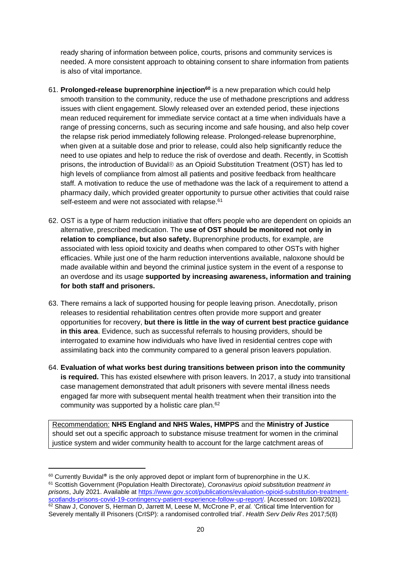ready sharing of information between police, courts, prisons and community services is needed. A more consistent approach to obtaining consent to share information from patients is also of vital importance.

- 61. **Prolonged-release buprenorphine injection<sup>60</sup>** is a new preparation which could help smooth transition to the community, reduce the use of methadone prescriptions and address issues with client engagement. Slowly released over an extended period, these injections mean reduced requirement for immediate service contact at a time when individuals have a range of pressing concerns, such as securing income and safe housing, and also help cover the relapse risk period immediately following release. Prolonged-release buprenorphine, when given at a suitable dose and prior to release, could also help significantly reduce the need to use opiates and help to reduce the risk of overdose and death. Recently, in Scottish prisons, the introduction of Buvidal® as an Opioid Substitution Treatment (OST) has led to high levels of compliance from almost all patients and positive feedback from healthcare staff. A motivation to reduce the use of methadone was the lack of a requirement to attend a pharmacy daily, which provided greater opportunity to pursue other activities that could raise self-esteem and were not associated with relapse.<sup>61</sup>
- 62. OST is a type of harm reduction initiative that offers people who are dependent on opioids an alternative, prescribed medication. The **use of OST should be monitored not only in relation to compliance, but also safety.** Buprenorphine products, for example, are associated with less opioid toxicity and deaths when compared to other OSTs with higher efficacies. While just one of the harm reduction interventions available, naloxone should be made available within and beyond the criminal justice system in the event of a response to an overdose and its usage **supported by increasing awareness, information and training for both staff and prisoners.**
- 63. There remains a lack of supported housing for people leaving prison. Anecdotally, prison releases to residential rehabilitation centres often provide more support and greater opportunities for recovery, **but there is little in the way of current best practice guidance in this area**. Evidence, such as successful referrals to housing providers, should be interrogated to examine how individuals who have lived in residential centres cope with assimilating back into the community compared to a general prison leavers population.
- 64. **Evaluation of what works best during transitions between prison into the community is required.** This has existed elsewhere with prison leavers. In 2017, a study into transitional case management demonstrated that adult prisoners with severe mental illness needs engaged far more with subsequent mental health treatment when their transition into the community was supported by a holistic care plan.<sup>62</sup>

Recommendation: **NHS England and NHS Wales, HMPPS** and the **Ministry of Justice** should set out a specific approach to substance misuse treatment for women in the criminal justice system and wider community health to account for the large catchment areas of

 $60$  Currently Buvidal<sup>®</sup> is the only approved depot or implant form of buprenorphine in the U.K.

<sup>61</sup> Scottish Government (Population Health Directorate), *Coronavirus opioid substitution treatment in prisons*, July 2021. Available at [https://www.gov.scot/publications/evaluation-opioid-substitution-treatment](https://www.gov.scot/publications/evaluation-opioid-substitution-treatment-scotlands-prisons-covid-19-contingency-patient-experience-follow-up-report/)[scotlands-prisons-covid-19-contingency-patient-experience-follow-up-report/.](https://www.gov.scot/publications/evaluation-opioid-substitution-treatment-scotlands-prisons-covid-19-contingency-patient-experience-follow-up-report/) [Accessed on: 10/8/2021]. <sup>62</sup> Shaw J, Conover S, Herman D, Jarrett M, Leese M, McCrone P, et al. 'Critical time Intervention for Severely mentally ill Prisoners (CrISP): a randomised controlled trial'. *Health Serv Deliv Res* 2017;5(8)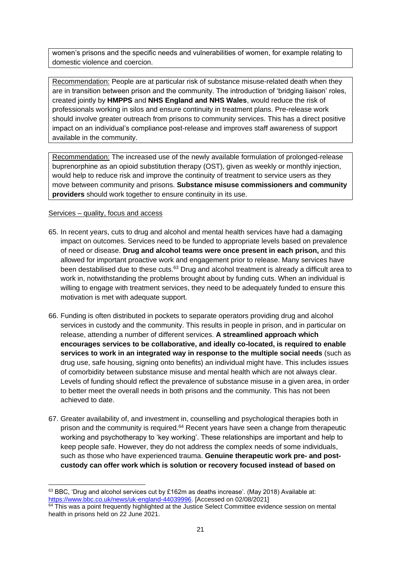women's prisons and the specific needs and vulnerabilities of women, for example relating to domestic violence and coercion.

Recommendation: People are at particular risk of substance misuse-related death when they are in transition between prison and the community. The introduction of 'bridging liaison' roles, created jointly by **HMPPS** and **NHS England and NHS Wales**, would reduce the risk of professionals working in silos and ensure continuity in treatment plans. Pre-release work should involve greater outreach from prisons to community services. This has a direct positive impact on an individual's compliance post-release and improves staff awareness of support available in the community.

Recommendation: The increased use of the newly available formulation of prolonged-release buprenorphine as an opioid substitution therapy (OST), given as weekly or monthly injection, would help to reduce risk and improve the continuity of treatment to service users as they move between community and prisons. **Substance misuse commissioners and community providers** should work together to ensure continuity in its use.

#### Services – quality, focus and access

- 65. In recent years, cuts to drug and alcohol and mental health services have had a damaging impact on outcomes. Services need to be funded to appropriate levels based on prevalence of need or disease. **Drug and alcohol teams were once present in each prison,** and this allowed for important proactive work and engagement prior to release. Many services have been destabilised due to these cuts.<sup>63</sup> Drug and alcohol treatment is already a difficult area to work in, notwithstanding the problems brought about by funding cuts. When an individual is willing to engage with treatment services, they need to be adequately funded to ensure this motivation is met with adequate support.
- 66. Funding is often distributed in pockets to separate operators providing drug and alcohol services in custody and the community. This results in people in prison, and in particular on release, attending a number of different services. **A streamlined approach which encourages services to be collaborative, and ideally co-located, is required to enable services to work in an integrated way in response to the multiple social needs** (such as drug use, safe housing, signing onto benefits) an individual might have. This includes issues of comorbidity between substance misuse and mental health which are not always clear. Levels of funding should reflect the prevalence of substance misuse in a given area, in order to better meet the overall needs in both prisons and the community. This has not been achieved to date.
- 67. Greater availability of, and investment in, counselling and psychological therapies both in prison and the community is required.<sup>64</sup> Recent years have seen a change from therapeutic working and psychotherapy to 'key working'. These relationships are important and help to keep people safe. However, they do not address the complex needs of some individuals, such as those who have experienced trauma. **Genuine therapeutic work pre- and postcustody can offer work which is solution or recovery focused instead of based on**

<sup>63</sup> BBC, 'Drug and alcohol services cut by £162m as deaths increase'. (May 2018) Available at: [https://www.bbc.co.uk/news/uk-england-44039996.](https://www.bbc.co.uk/news/uk-england-44039996) [Accessed on 02/08/2021]

 $64$  This was a point frequently highlighted at the Justice Select Committee evidence session on mental health in prisons held on 22 June 2021.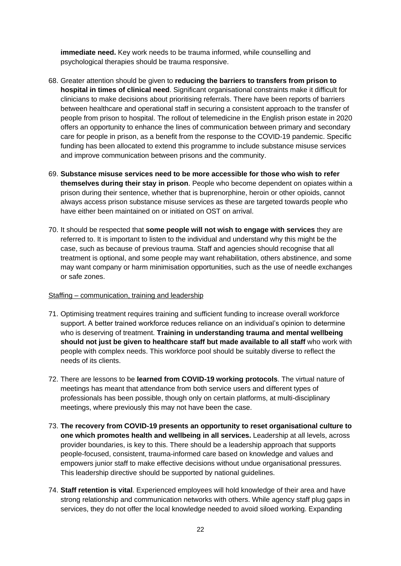**immediate need.** Key work needs to be trauma informed, while counselling and psychological therapies should be trauma responsive.

- 68. Greater attention should be given to **reducing the barriers to transfers from prison to hospital in times of clinical need**. Significant organisational constraints make it difficult for clinicians to make decisions about prioritising referrals. There have been reports of barriers between healthcare and operational staff in securing a consistent approach to the transfer of people from prison to hospital. The rollout of telemedicine in the English prison estate in 2020 offers an opportunity to enhance the lines of communication between primary and secondary care for people in prison, as a benefit from the response to the COVID-19 pandemic. Specific funding has been allocated to extend this programme to include substance misuse services and improve communication between prisons and the community.
- 69. **Substance misuse services need to be more accessible for those who wish to refer themselves during their stay in prison**. People who become dependent on opiates within a prison during their sentence, whether that is buprenorphine, heroin or other opioids, cannot always access prison substance misuse services as these are targeted towards people who have either been maintained on or initiated on OST on arrival.
- 70. It should be respected that **some people will not wish to engage with services** they are referred to. It is important to listen to the individual and understand why this might be the case, such as because of previous trauma. Staff and agencies should recognise that all treatment is optional, and some people may want rehabilitation, others abstinence, and some may want company or harm minimisation opportunities, such as the use of needle exchanges or safe zones.

#### Staffing – communication, training and leadership

- 71. Optimising treatment requires training and sufficient funding to increase overall workforce support. A better trained workforce reduces reliance on an individual's opinion to determine who is deserving of treatment. **Training in understanding trauma and mental wellbeing should not just be given to healthcare staff but made available to all staff** who work with people with complex needs. This workforce pool should be suitably diverse to reflect the needs of its clients.
- 72. There are lessons to be **learned from COVID-19 working protocols**. The virtual nature of meetings has meant that attendance from both service users and different types of professionals has been possible, though only on certain platforms, at multi-disciplinary meetings, where previously this may not have been the case.
- 73. **The recovery from COVID-19 presents an opportunity to reset organisational culture to one which promotes health and wellbeing in all services.** Leadership at all levels, across provider boundaries, is key to this. There should be a leadership approach that supports people-focused, consistent, trauma-informed care based on knowledge and values and empowers junior staff to make effective decisions without undue organisational pressures. This leadership directive should be supported by national guidelines.
- 74. **Staff retention is vital**. Experienced employees will hold knowledge of their area and have strong relationship and communication networks with others. While agency staff plug gaps in services, they do not offer the local knowledge needed to avoid siloed working. Expanding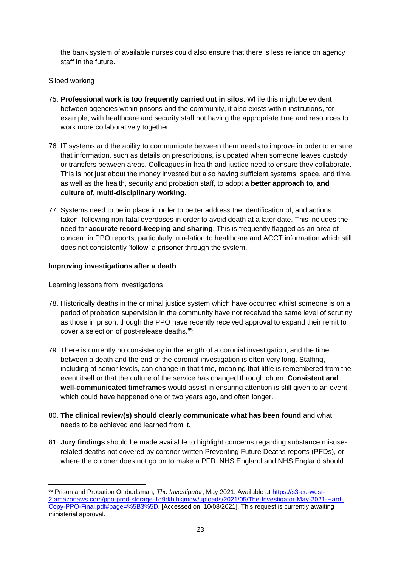the bank system of available nurses could also ensure that there is less reliance on agency staff in the future.

#### Siloed working

- 75. **Professional work is too frequently carried out in silos**. While this might be evident between agencies within prisons and the community, it also exists within institutions, for example, with healthcare and security staff not having the appropriate time and resources to work more collaboratively together.
- 76. IT systems and the ability to communicate between them needs to improve in order to ensure that information, such as details on prescriptions, is updated when someone leaves custody or transfers between areas. Colleagues in health and justice need to ensure they collaborate. This is not just about the money invested but also having sufficient systems, space, and time, as well as the health, security and probation staff, to adopt **a better approach to, and culture of, multi-disciplinary working**.
- 77. Systems need to be in place in order to better address the identification of, and actions taken, following non-fatal overdoses in order to avoid death at a later date. This includes the need for **accurate record-keeping and sharing**. This is frequently flagged as an area of concern in PPO reports, particularly in relation to healthcare and ACCT information which still does not consistently 'follow' a prisoner through the system.

#### **Improving investigations after a death**

#### Learning lessons from investigations

- 78. Historically deaths in the criminal justice system which have occurred whilst someone is on a period of probation supervision in the community have not received the same level of scrutiny as those in prison, though the PPO have recently received approval to expand their remit to cover a selection of post-release deaths.<sup>65</sup>
- 79. There is currently no consistency in the length of a coronial investigation, and the time between a death and the end of the coronial investigation is often very long. Staffing, including at senior levels, can change in that time, meaning that little is remembered from the event itself or that the culture of the service has changed through churn. **Consistent and well-communicated timeframes** would assist in ensuring attention is still given to an event which could have happened one or two years ago, and often longer.
- 80. **The clinical review(s) should clearly communicate what has been found** and what needs to be achieved and learned from it.
- 81. **Jury findings** should be made available to highlight concerns regarding substance misuserelated deaths not covered by coroner-written Preventing Future Deaths reports (PFDs), or where the coroner does not go on to make a PFD. NHS England and NHS England should

<sup>&</sup>lt;sup>65</sup> Prison and Probation Ombudsman, *The Investigator*, May 2021. Available at [https://s3-eu-west-](https://s3-eu-west-2.amazonaws.com/ppo-prod-storage-1g9rkhjhkjmgw/uploads/2021/05/The-Investigator-May-2021-Hard-Copy-PPO-Final.pdf#page=%5B3%5D)[2.amazonaws.com/ppo-prod-storage-1g9rkhjhkjmgw/uploads/2021/05/The-Investigator-May-2021-Hard-](https://s3-eu-west-2.amazonaws.com/ppo-prod-storage-1g9rkhjhkjmgw/uploads/2021/05/The-Investigator-May-2021-Hard-Copy-PPO-Final.pdf#page=%5B3%5D)[Copy-PPO-Final.pdf#page=%5B3%5D.](https://s3-eu-west-2.amazonaws.com/ppo-prod-storage-1g9rkhjhkjmgw/uploads/2021/05/The-Investigator-May-2021-Hard-Copy-PPO-Final.pdf#page=%5B3%5D) [Accessed on: 10/08/2021]. This request is currently awaiting ministerial approval.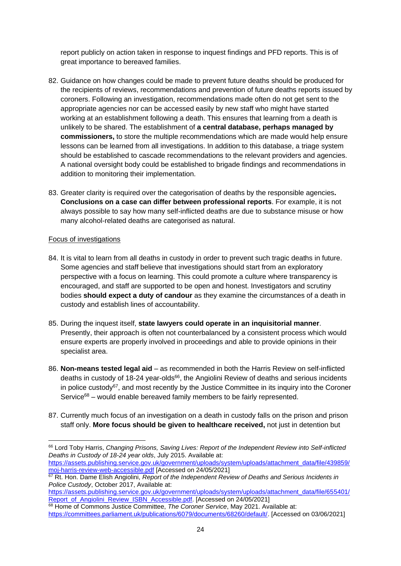report publicly on action taken in response to inquest findings and PFD reports. This is of great importance to bereaved families.

- 82. Guidance on how changes could be made to prevent future deaths should be produced for the recipients of reviews, recommendations and prevention of future deaths reports issued by coroners. Following an investigation, recommendations made often do not get sent to the appropriate agencies nor can be accessed easily by new staff who might have started working at an establishment following a death. This ensures that learning from a death is unlikely to be shared. The establishment of **a central database, perhaps managed by commissioners,** to store the multiple recommendations which are made would help ensure lessons can be learned from all investigations. In addition to this database, a triage system should be established to cascade recommendations to the relevant providers and agencies. A national oversight body could be established to brigade findings and recommendations in addition to monitoring their implementation.
- 83. Greater clarity is required over the categorisation of deaths by the responsible agencies**. Conclusions on a case can differ between professional reports**. For example, it is not always possible to say how many self-inflicted deaths are due to substance misuse or how many alcohol-related deaths are categorised as natural.

#### Focus of investigations

- 84. It is vital to learn from all deaths in custody in order to prevent such tragic deaths in future. Some agencies and staff believe that investigations should start from an exploratory perspective with a focus on learning. This could promote a culture where transparency is encouraged, and staff are supported to be open and honest. Investigators and scrutiny bodies **should expect a duty of candour** as they examine the circumstances of a death in custody and establish lines of accountability.
- 85. During the inquest itself, **state lawyers could operate in an inquisitorial manner**. Presently, their approach is often not counterbalanced by a consistent process which would ensure experts are properly involved in proceedings and able to provide opinions in their specialist area.
- 86. **Non-means tested legal aid** as recommended in both the Harris Review on self-inflicted deaths in custody of 18-24 year-olds<sup>66</sup>, the Angiolini Review of deaths and serious incidents in police custody<sup>67</sup>, and most recently by the Justice Committee in its inquiry into the Coroner Service $68 -$  would enable bereaved family members to be fairly represented.
- 87. Currently much focus of an investigation on a death in custody falls on the prison and prison staff only. **More focus should be given to healthcare received,** not just in detention but

<sup>66</sup> Lord Toby Harris, *Changing Prisons, Saving Lives: Report of the Independent Review into Self-inflicted Deaths in Custody of 18-24 year olds*, July 2015. Available at: [https://assets.publishing.service.gov.uk/government/uploads/system/uploads/attachment\\_data/file/439859/](https://assets.publishing.service.gov.uk/government/uploads/system/uploads/attachment_data/file/439859/moj-harris-review-web-accessible.pdf)

[moj-harris-review-web-accessible.pdf](https://assets.publishing.service.gov.uk/government/uploads/system/uploads/attachment_data/file/439859/moj-harris-review-web-accessible.pdf) [Accessed on 24/05/2021] <sup>67</sup> Rt. Hon. Dame Elish Angiolini, *Report of the Independent Review of Deaths and Serious Incidents in Police Custody*, October 2017, Available at:

[https://assets.publishing.service.gov.uk/government/uploads/system/uploads/attachment\\_data/file/655401/](https://assets.publishing.service.gov.uk/government/uploads/system/uploads/attachment_data/file/655401/Report_of_Angiolini_Review_ISBN_Accessible.pdf) [Report\\_of\\_Angiolini\\_Review\\_ISBN\\_Accessible.pdf.](https://assets.publishing.service.gov.uk/government/uploads/system/uploads/attachment_data/file/655401/Report_of_Angiolini_Review_ISBN_Accessible.pdf) [Accessed on 24/05/2021]

<sup>68</sup> Home of Commons Justice Committee, *The Coroner Service*, May 2021. Available at: [https://committees.parliament.uk/publications/6079/documents/68260/default/.](https://committees.parliament.uk/publications/6079/documents/68260/default/) [Accessed on 03/06/2021]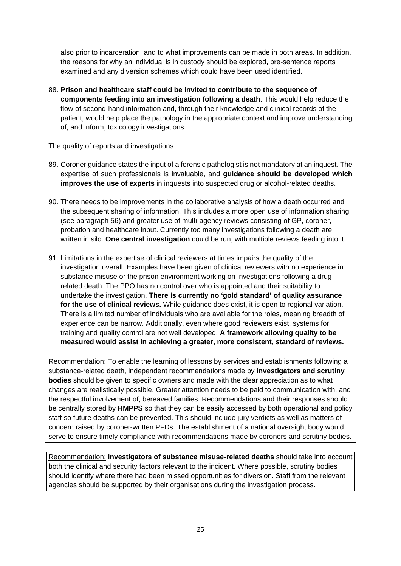also prior to incarceration, and to what improvements can be made in both areas. In addition, the reasons for why an individual is in custody should be explored, pre-sentence reports examined and any diversion schemes which could have been used identified.

88. **Prison and healthcare staff could be invited to contribute to the sequence of components feeding into an investigation following a death**. This would help reduce the flow of second-hand information and, through their knowledge and clinical records of the patient, would help place the pathology in the appropriate context and improve understanding of, and inform, toxicology investigations.

### The quality of reports and investigations

- 89. Coroner guidance states the input of a forensic pathologist is not mandatory at an inquest. The expertise of such professionals is invaluable, and **guidance should be developed which improves the use of experts** in inquests into suspected drug or alcohol-related deaths.
- 90. There needs to be improvements in the collaborative analysis of how a death occurred and the subsequent sharing of information. This includes a more open use of information sharing (see paragraph 56) and greater use of multi-agency reviews consisting of GP, coroner, probation and healthcare input. Currently too many investigations following a death are written in silo. **One central investigation** could be run, with multiple reviews feeding into it.
- 91. Limitations in the expertise of clinical reviewers at times impairs the quality of the investigation overall. Examples have been given of clinical reviewers with no experience in substance misuse or the prison environment working on investigations following a drugrelated death. The PPO has no control over who is appointed and their suitability to undertake the investigation. **There is currently no 'gold standard' of quality assurance for the use of clinical reviews.** While guidance does exist, it is open to regional variation. There is a limited number of individuals who are available for the roles, meaning breadth of experience can be narrow. Additionally, even where good reviewers exist, systems for training and quality control are not well developed. **A framework allowing quality to be measured would assist in achieving a greater, more consistent, standard of reviews.**

Recommendation: To enable the learning of lessons by services and establishments following a substance-related death, independent recommendations made by **investigators and scrutiny bodies** should be given to specific owners and made with the clear appreciation as to what changes are realistically possible. Greater attention needs to be paid to communication with, and the respectful involvement of, bereaved families. Recommendations and their responses should be centrally stored by **HMPPS** so that they can be easily accessed by both operational and policy staff so future deaths can be prevented. This should include jury verdicts as well as matters of concern raised by coroner-written PFDs. The establishment of a national oversight body would serve to ensure timely compliance with recommendations made by coroners and scrutiny bodies.

Recommendation: **Investigators of substance misuse-related deaths** should take into account both the clinical and security factors relevant to the incident. Where possible, scrutiny bodies should identify where there had been missed opportunities for diversion. Staff from the relevant agencies should be supported by their organisations during the investigation process.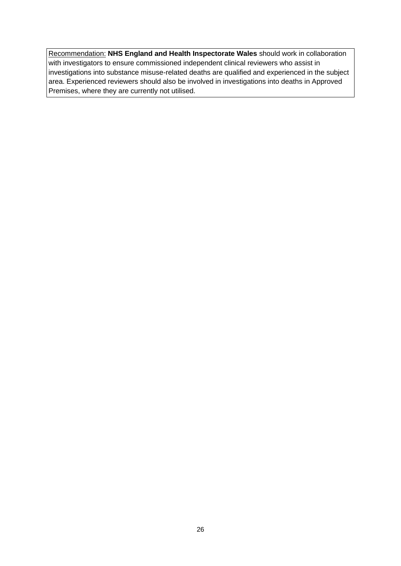Recommendation: **NHS England and Health Inspectorate Wales** should work in collaboration with investigators to ensure commissioned independent clinical reviewers who assist in investigations into substance misuse-related deaths are qualified and experienced in the subject area. Experienced reviewers should also be involved in investigations into deaths in Approved Premises, where they are currently not utilised.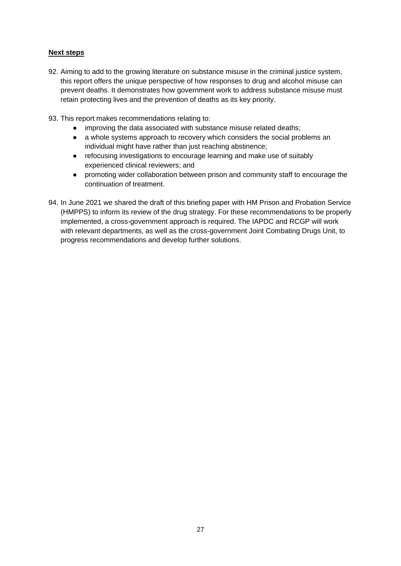## **Next steps**

- 92. Aiming to add to the growing literature on substance misuse in the criminal justice system, this report offers the unique perspective of how responses to drug and alcohol misuse can prevent deaths. It demonstrates how government work to address substance misuse must retain protecting lives and the prevention of deaths as its key priority.
- 93. This report makes recommendations relating to:
	- improving the data associated with substance misuse related deaths;
	- a whole systems approach to recovery which considers the social problems an individual might have rather than just reaching abstinence;
	- refocusing investigations to encourage learning and make use of suitably experienced clinical reviewers; and
	- promoting wider collaboration between prison and community staff to encourage the continuation of treatment.
- 94. In June 2021 we shared the draft of this briefing paper with HM Prison and Probation Service (HMPPS) to inform its review of the drug strategy. For these recommendations to be properly implemented, a cross-government approach is required. The IAPDC and RCGP will work with relevant departments, as well as the cross-government Joint Combating Drugs Unit, to progress recommendations and develop further solutions.